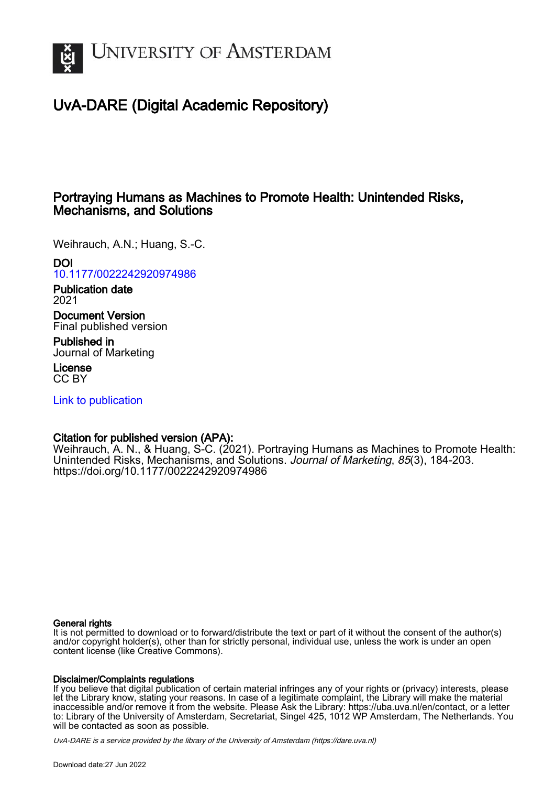

# UvA-DARE (Digital Academic Repository)

# Portraying Humans as Machines to Promote Health: Unintended Risks, Mechanisms, and Solutions

Weihrauch, A.N.; Huang, S.-C.

# DOI

[10.1177/0022242920974986](https://doi.org/10.1177/0022242920974986)

Publication date 2021

Document Version Final published version

Published in Journal of Marketing

License CC BY

[Link to publication](https://dare.uva.nl/personal/pure/en/publications/portraying-humans-as-machines-to-promote-health-unintended-risks-mechanisms-and-solutions(5b3422dc-9d52-45db-bd8a-580455828cf8).html)

# Citation for published version (APA):

Weihrauch, A. N., & Huang, S-C. (2021). Portraying Humans as Machines to Promote Health: Unintended Risks, Mechanisms, and Solutions. Journal of Marketing, 85(3), 184-203. <https://doi.org/10.1177/0022242920974986>

#### General rights

It is not permitted to download or to forward/distribute the text or part of it without the consent of the author(s) and/or copyright holder(s), other than for strictly personal, individual use, unless the work is under an open content license (like Creative Commons).

### Disclaimer/Complaints regulations

If you believe that digital publication of certain material infringes any of your rights or (privacy) interests, please let the Library know, stating your reasons. In case of a legitimate complaint, the Library will make the material inaccessible and/or remove it from the website. Please Ask the Library: https://uba.uva.nl/en/contact, or a letter to: Library of the University of Amsterdam, Secretariat, Singel 425, 1012 WP Amsterdam, The Netherlands. You will be contacted as soon as possible.

UvA-DARE is a service provided by the library of the University of Amsterdam (http*s*://dare.uva.nl)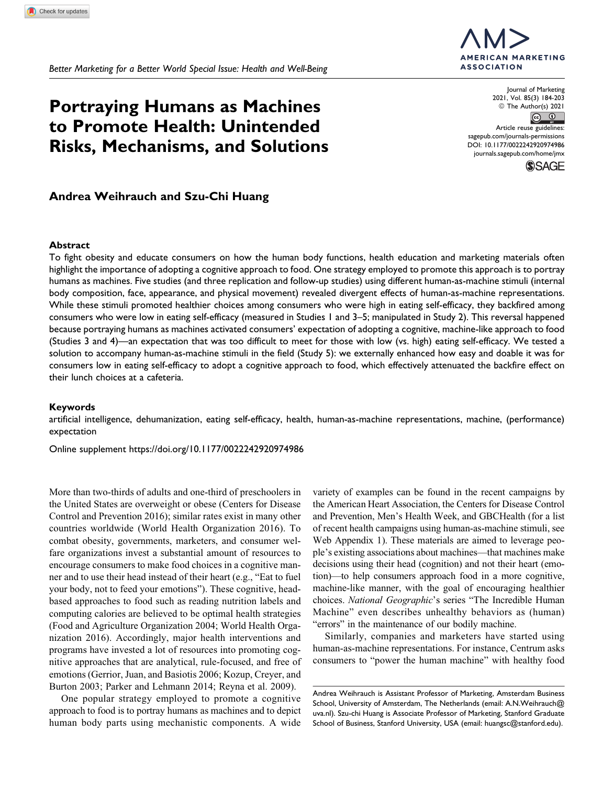*Better Marketing for a Better World Special Issue: Health and Well-Being*

# **Portraying Humans as Machines to Promote Health: Unintended Risks, Mechanisms, and Solutions**

# **Andrea Weihrauch and Szu-Chi Huang**

#### **Abstract**

To fight obesity and educate consumers on how the human body functions, health education and marketing materials often highlight the importance of adopting a cognitive approach to food. One strategy employed to promote this approach is to portray humans as machines. Five studies (and three replication and follow-up studies) using different human-as-machine stimuli (internal body composition, face, appearance, and physical movement) revealed divergent effects of human-as-machine representations. While these stimuli promoted healthier choices among consumers who were high in eating self-efficacy, they backfired among consumers who were low in eating self-efficacy (measured in Studies 1 and 3–5; manipulated in Study 2). This reversal happened because portraying humans as machines activated consumers' expectation of adopting a cognitive, machine-like approach to food (Studies 3 and 4)—an expectation that was too difficult to meet for those with low (vs. high) eating self-efficacy. We tested a solution to accompany human-as-machine stimuli in the field (Study 5): we externally enhanced how easy and doable it was for consumers low in eating self-efficacy to adopt a cognitive approach to food, which effectively attenuated the backfire effect on their lunch choices at a cafeteria.

#### **Keywords**

artificial intelligence, dehumanization, eating self-efficacy, health, human-as-machine representations, machine, (performance) expectation

Online supplement<https://doi.org/10.1177/0022242920974986>

More than two-thirds of adults and one-third of preschoolers in the United States are overweight or obese (Centers for Disease Control and Prevention 2016); similar rates exist in many other countries worldwide (World Health Organization 2016). To combat obesity, governments, marketers, and consumer welfare organizations invest a substantial amount of resources to encourage consumers to make food choices in a cognitive manner and to use their head instead of their heart (e.g., "Eat to fuel your body, not to feed your emotions"). These cognitive, headbased approaches to food such as reading nutrition labels and computing calories are believed to be optimal health strategies (Food and Agriculture Organization 2004; World Health Organization 2016). Accordingly, major health interventions and programs have invested a lot of resources into promoting cognitive approaches that are analytical, rule-focused, and free of emotions (Gerrior, Juan, and Basiotis 2006; Kozup, Creyer, and Burton 2003; Parker and Lehmann 2014; Reyna et al. 2009).

One popular strategy employed to promote a cognitive approach to food is to portray humans as machines and to depict human body parts using mechanistic components. A wide

variety of examples can be found in the recent campaigns by the American Heart Association, the Centers for Disease Control and Prevention, Men's Health Week, and GBCHealth (for a list of recent health campaigns using human-as-machine stimuli, see Web Appendix 1). These materials are aimed to leverage people's existing associations about machines—that machines make decisions using their head (cognition) and not their heart (emotion)—to help consumers approach food in a more cognitive, machine-like manner, with the goal of encouraging healthier choices. National Geographic's series "The Incredible Human Machine" even describes unhealthy behaviors as (human) "errors" in the maintenance of our bodily machine.

Similarly, companies and marketers have started using human-as-machine representations. For instance, Centrum asks consumers to "power the human machine" with healthy food

Andrea Weihrauch is Assistant Professor of Marketing, Amsterdam Business School, University of Amsterdam, The Netherlands (email: [A.N.Weihrauch@](mailto:A.N.Weihrauch@uva.nl) [uva.nl](mailto:A.N.Weihrauch@uva.nl)). Szu-chi Huang is Associate Professor of Marketing, Stanford Graduate School of Business, Stanford University, USA (email: [huangsc@stanford.edu](mailto:huangsc@stanford.edu)).



© The Author(s) 2021  $\circ$   $\circ$ Article reuse guidelines: [sagepub.com/journals-permissions](https://sagepub.com/journals-permissions) [DOI: 10.1177/0022242920974986](https://doi.org/10.1177/0022242920974986) [journals.sagepub.com/home/jmx](http://journals.sagepub.com/home/jmx)

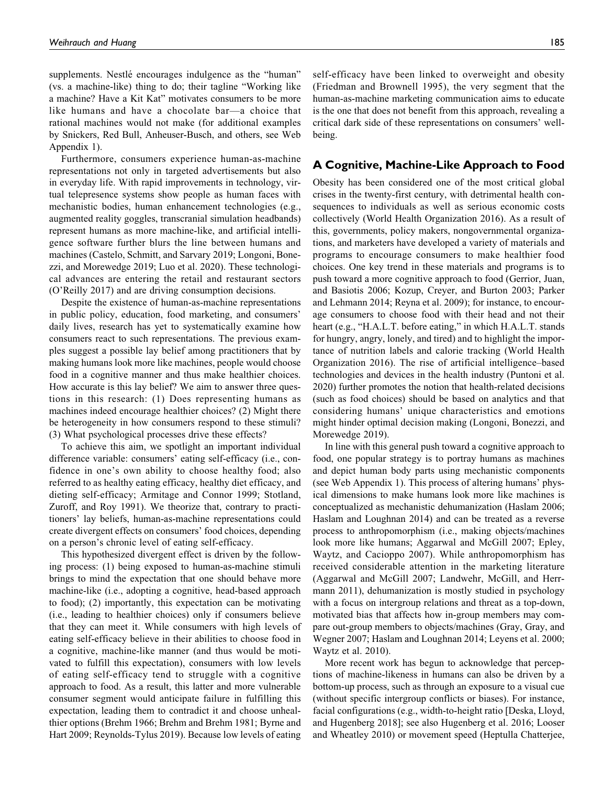supplements. Nestlé encourages indulgence as the "human" (vs. a machine-like) thing to do; their tagline "Working like a machine? Have a Kit Kat" motivates consumers to be more like humans and have a chocolate bar—a choice that rational machines would not make (for additional examples by Snickers, Red Bull, Anheuser-Busch, and others, see Web Appendix 1).

Furthermore, consumers experience human-as-machine representations not only in targeted advertisements but also in everyday life. With rapid improvements in technology, virtual telepresence systems show people as human faces with mechanistic bodies, human enhancement technologies (e.g., augmented reality goggles, transcranial simulation headbands) represent humans as more machine-like, and artificial intelligence software further blurs the line between humans and machines (Castelo, Schmitt, and Sarvary 2019; Longoni, Bonezzi, and Morewedge 2019; Luo et al. 2020). These technological advances are entering the retail and restaurant sectors (O'Reilly 2017) and are driving consumption decisions.

Despite the existence of human-as-machine representations in public policy, education, food marketing, and consumers' daily lives, research has yet to systematically examine how consumers react to such representations. The previous examples suggest a possible lay belief among practitioners that by making humans look more like machines, people would choose food in a cognitive manner and thus make healthier choices. How accurate is this lay belief? We aim to answer three questions in this research: (1) Does representing humans as machines indeed encourage healthier choices? (2) Might there be heterogeneity in how consumers respond to these stimuli? (3) What psychological processes drive these effects?

To achieve this aim, we spotlight an important individual difference variable: consumers' eating self-efficacy (i.e., confidence in one's own ability to choose healthy food; also referred to as healthy eating efficacy, healthy diet efficacy, and dieting self-efficacy; Armitage and Connor 1999; Stotland, Zuroff, and Roy 1991). We theorize that, contrary to practitioners' lay beliefs, human-as-machine representations could create divergent effects on consumers' food choices, depending on a person's chronic level of eating self-efficacy.

This hypothesized divergent effect is driven by the following process: (1) being exposed to human-as-machine stimuli brings to mind the expectation that one should behave more machine-like (i.e., adopting a cognitive, head-based approach to food); (2) importantly, this expectation can be motivating (i.e., leading to healthier choices) only if consumers believe that they can meet it. While consumers with high levels of eating self-efficacy believe in their abilities to choose food in a cognitive, machine-like manner (and thus would be motivated to fulfill this expectation), consumers with low levels of eating self-efficacy tend to struggle with a cognitive approach to food. As a result, this latter and more vulnerable consumer segment would anticipate failure in fulfilling this expectation, leading them to contradict it and choose unhealthier options (Brehm 1966; Brehm and Brehm 1981; Byrne and Hart 2009; Reynolds-Tylus 2019). Because low levels of eating

self-efficacy have been linked to overweight and obesity (Friedman and Brownell 1995), the very segment that the human-as-machine marketing communication aims to educate is the one that does not benefit from this approach, revealing a critical dark side of these representations on consumers' wellbeing.

#### **A Cognitive, Machine-Like Approach to Food**

Obesity has been considered one of the most critical global crises in the twenty-first century, with detrimental health consequences to individuals as well as serious economic costs collectively (World Health Organization 2016). As a result of this, governments, policy makers, nongovernmental organizations, and marketers have developed a variety of materials and programs to encourage consumers to make healthier food choices. One key trend in these materials and programs is to push toward a more cognitive approach to food (Gerrior, Juan, and Basiotis 2006; Kozup, Creyer, and Burton 2003; Parker and Lehmann 2014; Reyna et al. 2009); for instance, to encourage consumers to choose food with their head and not their heart (e.g., "H.A.L.T. before eating," in which H.A.L.T. stands for hungry, angry, lonely, and tired) and to highlight the importance of nutrition labels and calorie tracking (World Health Organization 2016). The rise of artificial intelligence–based technologies and devices in the health industry (Puntoni et al. 2020) further promotes the notion that health-related decisions (such as food choices) should be based on analytics and that considering humans' unique characteristics and emotions might hinder optimal decision making (Longoni, Bonezzi, and Morewedge 2019).

In line with this general push toward a cognitive approach to food, one popular strategy is to portray humans as machines and depict human body parts using mechanistic components (see Web Appendix 1). This process of altering humans' physical dimensions to make humans look more like machines is conceptualized as mechanistic dehumanization (Haslam 2006; Haslam and Loughnan 2014) and can be treated as a reverse process to anthropomorphism (i.e., making objects/machines look more like humans; Aggarwal and McGill 2007; Epley, Waytz, and Cacioppo 2007). While anthropomorphism has received considerable attention in the marketing literature (Aggarwal and McGill 2007; Landwehr, McGill, and Herrmann 2011), dehumanization is mostly studied in psychology with a focus on intergroup relations and threat as a top-down, motivated bias that affects how in-group members may compare out-group members to objects/machines (Gray, Gray, and Wegner 2007; Haslam and Loughnan 2014; Leyens et al. 2000; Waytz et al. 2010).

More recent work has begun to acknowledge that perceptions of machine-likeness in humans can also be driven by a bottom-up process, such as through an exposure to a visual cue (without specific intergroup conflicts or biases). For instance, facial configurations (e.g., width-to-height ratio [Deska, Lloyd, and Hugenberg 2018]; see also Hugenberg et al. 2016; Looser and Wheatley 2010) or movement speed (Heptulla Chatterjee,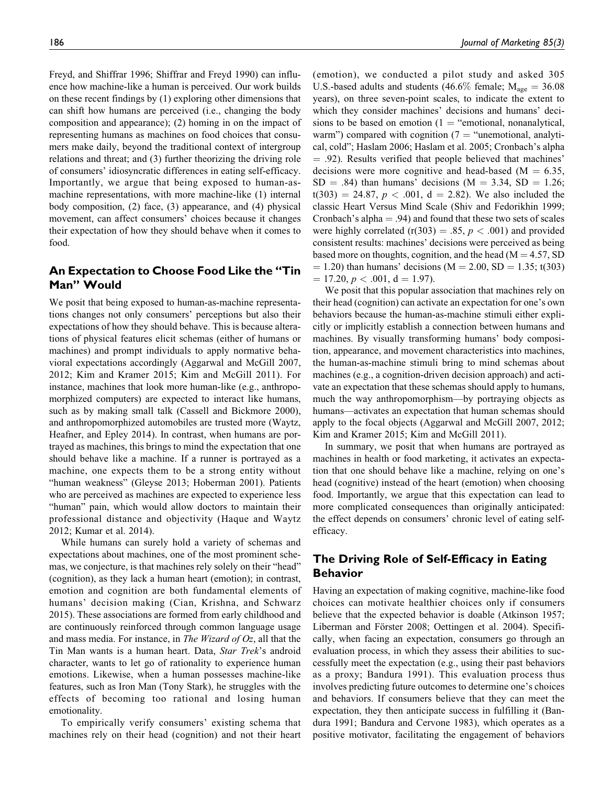Freyd, and Shiffrar 1996; Shiffrar and Freyd 1990) can influence how machine-like a human is perceived. Our work builds on these recent findings by (1) exploring other dimensions that can shift how humans are perceived (i.e., changing the body composition and appearance); (2) homing in on the impact of representing humans as machines on food choices that consumers make daily, beyond the traditional context of intergroup relations and threat; and (3) further theorizing the driving role of consumers' idiosyncratic differences in eating self-efficacy. Importantly, we argue that being exposed to human-asmachine representations, with more machine-like (1) internal body composition, (2) face, (3) appearance, and (4) physical movement, can affect consumers' choices because it changes their expectation of how they should behave when it comes to food.

# **An Expectation to Choose Food Like the "Tin Man" Would**

We posit that being exposed to human-as-machine representations changes not only consumers' perceptions but also their expectations of how they should behave. This is because alterations of physical features elicit schemas (either of humans or machines) and prompt individuals to apply normative behavioral expectations accordingly (Aggarwal and McGill 2007, 2012; Kim and Kramer 2015; Kim and McGill 2011). For instance, machines that look more human-like (e.g., anthropomorphized computers) are expected to interact like humans, such as by making small talk (Cassell and Bickmore 2000), and anthropomorphized automobiles are trusted more (Waytz, Heafner, and Epley 2014). In contrast, when humans are portrayed as machines, this brings to mind the expectation that one should behave like a machine. If a runner is portrayed as a machine, one expects them to be a strong entity without "human weakness" (Gleyse 2013; Hoberman 2001). Patients who are perceived as machines are expected to experience less "human" pain, which would allow doctors to maintain their professional distance and objectivity (Haque and Waytz 2012; Kumar et al. 2014).

While humans can surely hold a variety of schemas and expectations about machines, one of the most prominent schemas, we conjecture, is that machines rely solely on their "head" (cognition), as they lack a human heart (emotion); in contrast, emotion and cognition are both fundamental elements of humans' decision making (Cian, Krishna, and Schwarz 2015). These associations are formed from early childhood and are continuously reinforced through common language usage and mass media. For instance, in The Wizard of Oz, all that the Tin Man wants is a human heart. Data, Star Trek's android character, wants to let go of rationality to experience human emotions. Likewise, when a human possesses machine-like features, such as Iron Man (Tony Stark), he struggles with the effects of becoming too rational and losing human emotionality.

To empirically verify consumers' existing schema that machines rely on their head (cognition) and not their heart (emotion), we conducted a pilot study and asked 305 U.S.-based adults and students (46.6% female;  $M_{\text{age}} = 36.08$ years), on three seven-point scales, to indicate the extent to which they consider machines' decisions and humans' decisions to be based on emotion  $(1 - "emotional, nonanalytical, ...)$ warm") compared with cognition ( $7 =$  "unemotional, analytical, cold"; Haslam 2006; Haslam et al. 2005; Cronbach's alpha  $=$  .92). Results verified that people believed that machines' decisions were more cognitive and head-based ( $M = 6.35$ ,  $SD = .84$ ) than humans' decisions (M = 3.34, SD = 1.26;  $t(303) = 24.87, p < .001, d = 2.82$ . We also included the classic Heart Versus Mind Scale (Shiv and Fedorikhin 1999; Cronbach's alpha  $= .94$ ) and found that these two sets of scales were highly correlated (r(303) = .85,  $p < .001$ ) and provided consistent results: machines' decisions were perceived as being based more on thoughts, cognition, and the head  $(M = 4.57, SD)$  $(1,20)$  than humans' decisions (M = 2.00, SD = 1.35; t(303)  $= 17.20, p < .001, d = 1.97$ ).

We posit that this popular association that machines rely on their head (cognition) can activate an expectation for one's own behaviors because the human-as-machine stimuli either explicitly or implicitly establish a connection between humans and machines. By visually transforming humans' body composition, appearance, and movement characteristics into machines, the human-as-machine stimuli bring to mind schemas about machines (e.g., a cognition-driven decision approach) and activate an expectation that these schemas should apply to humans, much the way anthropomorphism—by portraying objects as humans—activates an expectation that human schemas should apply to the focal objects (Aggarwal and McGill 2007, 2012; Kim and Kramer 2015; Kim and McGill 2011).

In summary, we posit that when humans are portrayed as machines in health or food marketing, it activates an expectation that one should behave like a machine, relying on one's head (cognitive) instead of the heart (emotion) when choosing food. Importantly, we argue that this expectation can lead to more complicated consequences than originally anticipated: the effect depends on consumers' chronic level of eating selfefficacy.

# **The Driving Role of Self-Efficacy in Eating Behavior**

Having an expectation of making cognitive, machine-like food choices can motivate healthier choices only if consumers believe that the expected behavior is doable (Atkinson 1957; Liberman and Förster 2008; Oettingen et al. 2004). Specifically, when facing an expectation, consumers go through an evaluation process, in which they assess their abilities to successfully meet the expectation (e.g., using their past behaviors as a proxy; Bandura 1991). This evaluation process thus involves predicting future outcomes to determine one's choices and behaviors. If consumers believe that they can meet the expectation, they then anticipate success in fulfilling it (Bandura 1991; Bandura and Cervone 1983), which operates as a positive motivator, facilitating the engagement of behaviors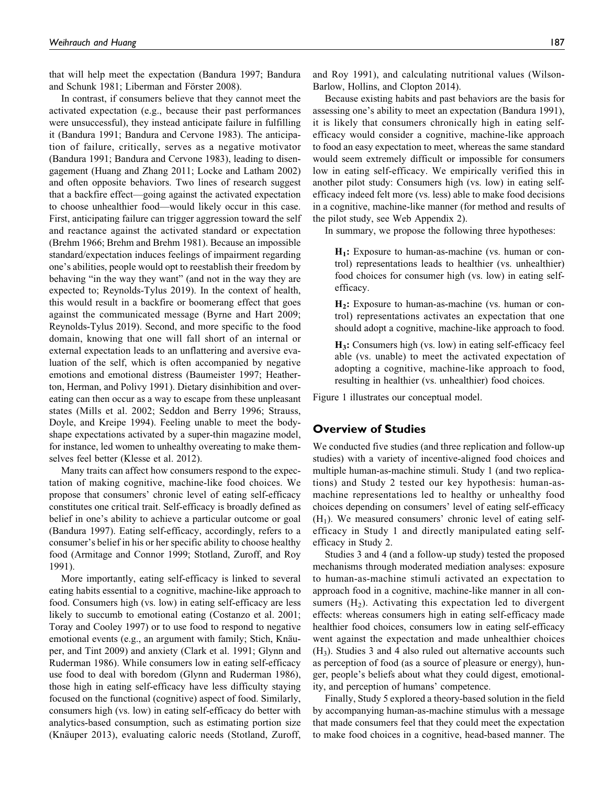that will help meet the expectation (Bandura 1997; Bandura and Schunk 1981; Liberman and Förster 2008).

In contrast, if consumers believe that they cannot meet the activated expectation (e.g., because their past performances were unsuccessful), they instead anticipate failure in fulfilling it (Bandura 1991; Bandura and Cervone 1983). The anticipation of failure, critically, serves as a negative motivator (Bandura 1991; Bandura and Cervone 1983), leading to disengagement (Huang and Zhang 2011; Locke and Latham 2002) and often opposite behaviors. Two lines of research suggest that a backfire effect—going against the activated expectation to choose unhealthier food—would likely occur in this case. First, anticipating failure can trigger aggression toward the self and reactance against the activated standard or expectation (Brehm 1966; Brehm and Brehm 1981). Because an impossible standard/expectation induces feelings of impairment regarding one's abilities, people would opt to reestablish their freedom by behaving "in the way they want" (and not in the way they are expected to; Reynolds-Tylus 2019). In the context of health, this would result in a backfire or boomerang effect that goes against the communicated message (Byrne and Hart 2009; Reynolds-Tylus 2019). Second, and more specific to the food domain, knowing that one will fall short of an internal or external expectation leads to an unflattering and aversive evaluation of the self, which is often accompanied by negative emotions and emotional distress (Baumeister 1997; Heatherton, Herman, and Polivy 1991). Dietary disinhibition and overeating can then occur as a way to escape from these unpleasant states (Mills et al. 2002; Seddon and Berry 1996; Strauss, Doyle, and Kreipe 1994). Feeling unable to meet the bodyshape expectations activated by a super-thin magazine model, for instance, led women to unhealthy overeating to make themselves feel better (Klesse et al. 2012).

Many traits can affect how consumers respond to the expectation of making cognitive, machine-like food choices. We propose that consumers' chronic level of eating self-efficacy constitutes one critical trait. Self-efficacy is broadly defined as belief in one's ability to achieve a particular outcome or goal (Bandura 1997). Eating self-efficacy, accordingly, refers to a consumer's belief in his or her specific ability to choose healthy food (Armitage and Connor 1999; Stotland, Zuroff, and Roy 1991).

More importantly, eating self-efficacy is linked to several eating habits essential to a cognitive, machine-like approach to food. Consumers high (vs. low) in eating self-efficacy are less likely to succumb to emotional eating (Costanzo et al. 2001; Toray and Cooley 1997) or to use food to respond to negative emotional events (e.g., an argument with family; Stich, Knäuper, and Tint 2009) and anxiety (Clark et al. 1991; Glynn and Ruderman 1986). While consumers low in eating self-efficacy use food to deal with boredom (Glynn and Ruderman 1986), those high in eating self-efficacy have less difficulty staying focused on the functional (cognitive) aspect of food. Similarly, consumers high (vs. low) in eating self-efficacy do better with analytics-based consumption, such as estimating portion size (Knäuper 2013), evaluating caloric needs (Stotland, Zuroff, and Roy 1991), and calculating nutritional values (Wilson-Barlow, Hollins, and Clopton 2014).

Because existing habits and past behaviors are the basis for assessing one's ability to meet an expectation (Bandura 1991), it is likely that consumers chronically high in eating selfefficacy would consider a cognitive, machine-like approach to food an easy expectation to meet, whereas the same standard would seem extremely difficult or impossible for consumers low in eating self-efficacy. We empirically verified this in another pilot study: Consumers high (vs. low) in eating selfefficacy indeed felt more (vs. less) able to make food decisions in a cognitive, machine-like manner (for method and results of the pilot study, see Web Appendix 2).

In summary, we propose the following three hypotheses:

 $H_1$ : Exposure to human-as-machine (vs. human or control) representations leads to healthier (vs. unhealthier) food choices for consumer high (vs. low) in eating selfefficacy.

H<sub>2</sub>: Exposure to human-as-machine (vs. human or control) representations activates an expectation that one should adopt a cognitive, machine-like approach to food.

H3: Consumers high (vs. low) in eating self-efficacy feel able (vs. unable) to meet the activated expectation of adopting a cognitive, machine-like approach to food, resulting in healthier (vs. unhealthier) food choices.

Figure 1 illustrates our conceptual model.

#### **Overview of Studies**

We conducted five studies (and three replication and follow-up studies) with a variety of incentive-aligned food choices and multiple human-as-machine stimuli. Study 1 (and two replications) and Study 2 tested our key hypothesis: human-asmachine representations led to healthy or unhealthy food choices depending on consumers' level of eating self-efficacy  $(H<sub>1</sub>)$ . We measured consumers' chronic level of eating selfefficacy in Study 1 and directly manipulated eating selfefficacy in Study 2.

Studies 3 and 4 (and a follow-up study) tested the proposed mechanisms through moderated mediation analyses: exposure to human-as-machine stimuli activated an expectation to approach food in a cognitive, machine-like manner in all consumers  $(H<sub>2</sub>)$ . Activating this expectation led to divergent effects: whereas consumers high in eating self-efficacy made healthier food choices, consumers low in eating self-efficacy went against the expectation and made unhealthier choices  $(H<sub>3</sub>)$ . Studies 3 and 4 also ruled out alternative accounts such as perception of food (as a source of pleasure or energy), hunger, people's beliefs about what they could digest, emotionality, and perception of humans' competence.

Finally, Study 5 explored a theory-based solution in the field by accompanying human-as-machine stimulus with a message that made consumers feel that they could meet the expectation to make food choices in a cognitive, head-based manner. The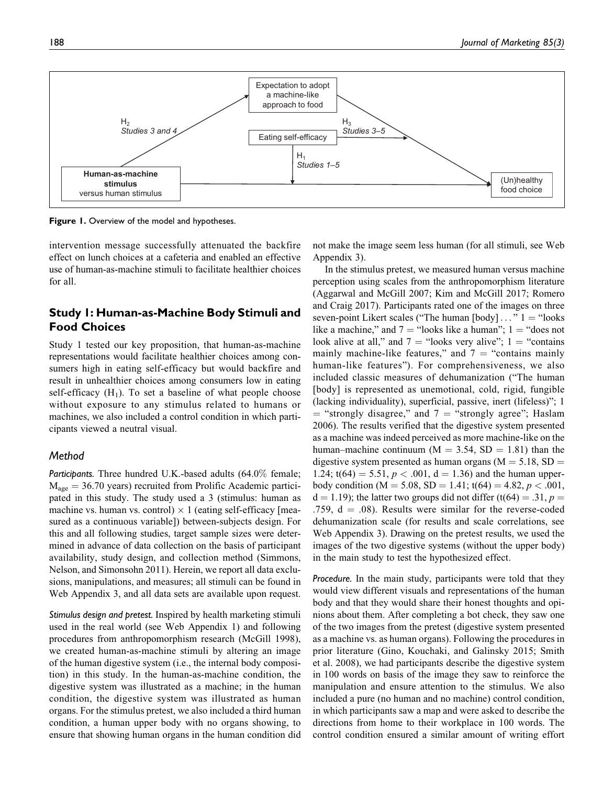

**Figure 1.** Overview of the model and hypotheses.

intervention message successfully attenuated the backfire effect on lunch choices at a cafeteria and enabled an effective use of human-as-machine stimuli to facilitate healthier choices for all.

# **Study 1: Human-as-Machine Body Stimuli and Food Choices**

Study 1 tested our key proposition, that human-as-machine representations would facilitate healthier choices among consumers high in eating self-efficacy but would backfire and result in unhealthier choices among consumers low in eating self-efficacy  $(H_1)$ . To set a baseline of what people choose without exposure to any stimulus related to humans or machines, we also included a control condition in which participants viewed a neutral visual.

#### *Method*

*Participants.* Three hundred U.K.-based adults (64.0% female;  $M_{\text{age}} = 36.70$  years) recruited from Prolific Academic participated in this study. The study used a 3 (stimulus: human as machine vs. human vs. control)  $\times$  1 (eating self-efficacy [measured as a continuous variable]) between-subjects design. For this and all following studies, target sample sizes were determined in advance of data collection on the basis of participant availability, study design, and collection method (Simmons, Nelson, and Simonsohn 2011). Herein, we report all data exclusions, manipulations, and measures; all stimuli can be found in Web Appendix 3, and all data sets are available upon request.

*Stimulus design and pretest.* Inspired by health marketing stimuli used in the real world (see Web Appendix 1) and following procedures from anthropomorphism research (McGill 1998), we created human-as-machine stimuli by altering an image of the human digestive system (i.e., the internal body composition) in this study. In the human-as-machine condition, the digestive system was illustrated as a machine; in the human condition, the digestive system was illustrated as human organs. For the stimulus pretest, we also included a third human condition, a human upper body with no organs showing, to ensure that showing human organs in the human condition did not make the image seem less human (for all stimuli, see Web Appendix 3).

In the stimulus pretest, we measured human versus machine perception using scales from the anthropomorphism literature (Aggarwal and McGill 2007; Kim and McGill 2017; Romero and Craig 2017). Participants rated one of the images on three seven-point Likert scales ("The human  $[body] \dots$ "  $1 =$  "looks" like a machine," and  $7 =$  "looks like a human"; 1 = "does not look alive at all," and  $7 =$  "looks very alive"; 1 = "contains" mainly machine-like features," and  $7 =$  "contains mainly human-like features"). For comprehensiveness, we also included classic measures of dehumanization ("The human [body] is represented as unemotional, cold, rigid, fungible (lacking individuality), superficial, passive, inert (lifeless)"; 1  $=$  "strongly disagree," and  $7 =$  "strongly agree"; Haslam 2006). The results verified that the digestive system presented as a machine was indeed perceived as more machine-like on the human–machine continuum ( $M = 3.54$ , SD = 1.81) than the digestive system presented as human organs ( $M = 5.18$ , SD = 1.24;  $t(64) = 5.51$ ,  $p < .001$ ,  $d = 1.36$ ) and the human upperbody condition (M = 5.08, SD = 1.41; t(64) = 4.82,  $p < .001$ ,  $d = 1.19$ ; the latter two groups did not differ (t(64) = .31, p = .759,  $d = .08$ ). Results were similar for the reverse-coded dehumanization scale (for results and scale correlations, see Web Appendix 3). Drawing on the pretest results, we used the images of the two digestive systems (without the upper body) in the main study to test the hypothesized effect.

*Procedure.* In the main study, participants were told that they would view different visuals and representations of the human body and that they would share their honest thoughts and opinions about them. After completing a bot check, they saw one of the two images from the pretest (digestive system presented as a machine vs. as human organs). Following the procedures in prior literature (Gino, Kouchaki, and Galinsky 2015; Smith et al. 2008), we had participants describe the digestive system in 100 words on basis of the image they saw to reinforce the manipulation and ensure attention to the stimulus. We also included a pure (no human and no machine) control condition, in which participants saw a map and were asked to describe the directions from home to their workplace in 100 words. The control condition ensured a similar amount of writing effort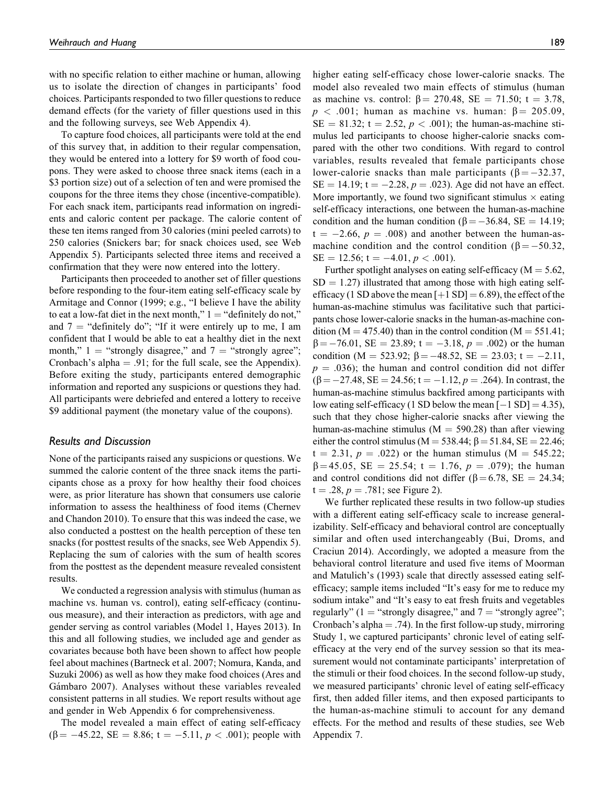with no specific relation to either machine or human, allowing us to isolate the direction of changes in participants' food choices. Participants responded to two filler questions to reduce demand effects (for the variety of filler questions used in this and the following surveys, see Web Appendix 4).

To capture food choices, all participants were told at the end of this survey that, in addition to their regular compensation, they would be entered into a lottery for \$9 worth of food coupons. They were asked to choose three snack items (each in a \$3 portion size) out of a selection of ten and were promised the coupons for the three items they chose (incentive-compatible). For each snack item, participants read information on ingredients and caloric content per package. The calorie content of these ten items ranged from 30 calories (mini peeled carrots) to 250 calories (Snickers bar; for snack choices used, see Web Appendix 5). Participants selected three items and received a confirmation that they were now entered into the lottery.

Participants then proceeded to another set of filler questions before responding to the four-item eating self-efficacy scale by Armitage and Connor (1999; e.g., "I believe I have the ability to eat a low-fat diet in the next month,"  $1 = "definitely do not,"$ and  $7$  = "definitely do"; "If it were entirely up to me, I am confident that I would be able to eat a healthy diet in the next month,"  $1$  = "strongly disagree," and  $7$  = "strongly agree"; Cronbach's alpha  $= .91$ ; for the full scale, see the Appendix). Before exiting the study, participants entered demographic information and reported any suspicions or questions they had. All participants were debriefed and entered a lottery to receive \$9 additional payment (the monetary value of the coupons).

#### *Results and Discussion*

None of the participants raised any suspicions or questions. We summed the calorie content of the three snack items the participants chose as a proxy for how healthy their food choices were, as prior literature has shown that consumers use calorie information to assess the healthiness of food items (Chernev and Chandon 2010). To ensure that this was indeed the case, we also conducted a posttest on the health perception of these ten snacks (for posttest results of the snacks, see Web Appendix 5). Replacing the sum of calories with the sum of health scores from the posttest as the dependent measure revealed consistent results.

We conducted a regression analysis with stimulus (human as machine vs. human vs. control), eating self-efficacy (continuous measure), and their interaction as predictors, with age and gender serving as control variables (Model 1, Hayes 2013). In this and all following studies, we included age and gender as covariates because both have been shown to affect how people feel about machines (Bartneck et al. 2007; Nomura, Kanda, and Suzuki 2006) as well as how they make food choices (Ares and Gámbaro 2007). Analyses without these variables revealed consistent patterns in all studies. We report results without age and gender in Web Appendix 6 for comprehensiveness.

The model revealed a main effect of eating self-efficacy  $(\beta = -45.22, \text{ SE} = 8.86; t = -5.11, p < .001)$ ; people with

higher eating self-efficacy chose lower-calorie snacks. The model also revealed two main effects of stimulus (human as machine vs. control:  $\beta = 270.48$ , SE = 71.50; t = 3.78,  $p < .001$ ; human as machine vs. human:  $\beta = 205.09$ ,  $SE = 81.32$ ; t = 2.52,  $p < .001$ ); the human-as-machine stimulus led participants to choose higher-calorie snacks compared with the other two conditions. With regard to control variables, results revealed that female participants chose lower-calorie snacks than male participants ( $\beta = -32.37$ ,  $SE = 14.19$ ;  $t = -2.28$ ,  $p = .023$ ). Age did not have an effect. More importantly, we found two significant stimulus  $\times$  eating self-efficacy interactions, one between the human-as-machine condition and the human condition ( $\beta = -36.84$ , SE = 14.19;  $t = -2.66$ ,  $p = .008$ ) and another between the human-asmachine condition and the control condition ( $\beta = -50.32$ ,  $SE = 12.56$ ;  $t = -4.01$ ,  $p < .001$ ).

Further spotlight analyses on eating self-efficacy ( $M = 5.62$ ,  $SD = 1.27$ ) illustrated that among those with high eating selfefficacy (1 SD above the mean  $[+1$  SD] = 6.89), the effect of the human-as-machine stimulus was facilitative such that participants chose lower-calorie snacks in the human-as-machine condition (M = 475.40) than in the control condition (M = 551.41;  $\beta = -76.01$ , SE = 23.89; t = -3.18, p = .002) or the human condition (M = 523.92;  $\beta = -48.52$ , SE = 23.03; t = -2.11,  $p = .036$ ; the human and control condition did not differ  $(\beta = -27.48, SE = 24.56; t = -1.12, p = .264)$ . In contrast, the human-as-machine stimulus backfired among participants with low eating self-efficacy (1 SD below the mean  $[-1 S D] = 4.35$ ), such that they chose higher-calorie snacks after viewing the human-as-machine stimulus ( $M = 590.28$ ) than after viewing either the control stimulus (M = 538.44;  $\beta$  = 51.84, SE = 22.46;  $t = 2.31, p = .022$  or the human stimulus (M = 545.22;  $\beta$ =45.05, SE = 25.54; t = 1.76, p = .079); the human and control conditions did not differ ( $\beta$  = 6.78, SE = 24.34;  $t = .28, p = .781$ ; see Figure 2).

We further replicated these results in two follow-up studies with a different eating self-efficacy scale to increase generalizability. Self-efficacy and behavioral control are conceptually similar and often used interchangeably (Bui, Droms, and Craciun 2014). Accordingly, we adopted a measure from the behavioral control literature and used five items of Moorman and Matulich's (1993) scale that directly assessed eating selfefficacy; sample items included "It's easy for me to reduce my sodium intake" and "It's easy to eat fresh fruits and vegetables regularly" (1 = "strongly disagree," and  $7$  = "strongly agree"; Cronbach's alpha  $= .74$ ). In the first follow-up study, mirroring Study 1, we captured participants' chronic level of eating selfefficacy at the very end of the survey session so that its measurement would not contaminate participants' interpretation of the stimuli or their food choices. In the second follow-up study, we measured participants' chronic level of eating self-efficacy first, then added filler items, and then exposed participants to the human-as-machine stimuli to account for any demand effects. For the method and results of these studies, see Web Appendix 7.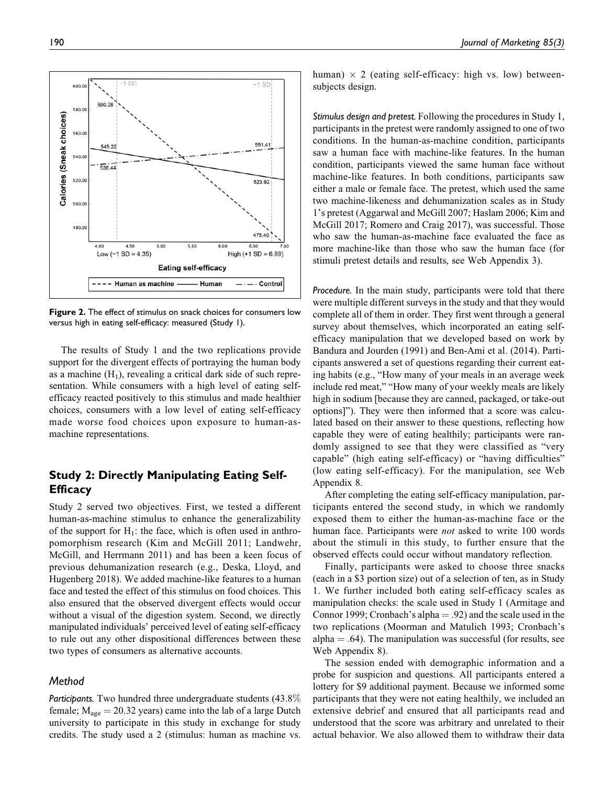$+1$  SD 600.0 590.28 580.0 Calories (Sneak choices) 560.0 551.41 545.22 540.0 538.44 520.00 523.92 500.0 480.0 475.40 6.50 4.00 4.50 5.50 Low  $(-1 SD = 4.35)$ High  $(+1 SD = 6.89)$ **Eating self-efficacy** - Human as machine Human  $\cdot$  Control

**Figure 2.** The effect of stimulus on snack choices for consumers low versus high in eating self-efficacy: measured (Study 1).

The results of Study 1 and the two replications provide support for the divergent effects of portraying the human body as a machine  $(H_1)$ , revealing a critical dark side of such representation. While consumers with a high level of eating selfefficacy reacted positively to this stimulus and made healthier choices, consumers with a low level of eating self-efficacy made worse food choices upon exposure to human-asmachine representations.

# **Study 2: Directly Manipulating Eating Self-Efficacy**

Study 2 served two objectives. First, we tested a different human-as-machine stimulus to enhance the generalizability of the support for  $H_1$ : the face, which is often used in anthropomorphism research (Kim and McGill 2011; Landwehr, McGill, and Herrmann 2011) and has been a keen focus of previous dehumanization research (e.g., Deska, Lloyd, and Hugenberg 2018). We added machine-like features to a human face and tested the effect of this stimulus on food choices. This also ensured that the observed divergent effects would occur without a visual of the digestion system. Second, we directly manipulated individuals' perceived level of eating self-efficacy to rule out any other dispositional differences between these two types of consumers as alternative accounts.

#### *Method*

*Participants.* Two hundred three undergraduate students (43.8% female;  $M_{\text{age}} = 20.32$  years) came into the lab of a large Dutch university to participate in this study in exchange for study credits. The study used a 2 (stimulus: human as machine vs.

human)  $\times$  2 (eating self-efficacy: high vs. low) betweensubjects design.

*Stimulus design and pretest.* Following the procedures in Study 1, participants in the pretest were randomly assigned to one of two conditions. In the human-as-machine condition, participants saw a human face with machine-like features. In the human condition, participants viewed the same human face without machine-like features. In both conditions, participants saw either a male or female face. The pretest, which used the same two machine-likeness and dehumanization scales as in Study 1's pretest (Aggarwal and McGill 2007; Haslam 2006; Kim and McGill 2017; Romero and Craig 2017), was successful. Those who saw the human-as-machine face evaluated the face as more machine-like than those who saw the human face (for stimuli pretest details and results, see Web Appendix 3).

*Procedure.* In the main study, participants were told that there were multiple different surveys in the study and that they would complete all of them in order. They first went through a general survey about themselves, which incorporated an eating selfefficacy manipulation that we developed based on work by Bandura and Jourden (1991) and Ben-Ami et al. (2014). Participants answered a set of questions regarding their current eating habits (e.g., "How many of your meals in an average week include red meat," "How many of your weekly meals are likely high in sodium [because they are canned, packaged, or take-out options]"). They were then informed that a score was calculated based on their answer to these questions, reflecting how capable they were of eating healthily; participants were randomly assigned to see that they were classified as "very capable" (high eating self-efficacy) or "having difficulties" (low eating self-efficacy). For the manipulation, see Web Appendix 8.

After completing the eating self-efficacy manipulation, participants entered the second study, in which we randomly exposed them to either the human-as-machine face or the human face. Participants were *not* asked to write 100 words about the stimuli in this study, to further ensure that the observed effects could occur without mandatory reflection.

Finally, participants were asked to choose three snacks (each in a \$3 portion size) out of a selection of ten, as in Study 1. We further included both eating self-efficacy scales as manipulation checks: the scale used in Study 1 (Armitage and Connor 1999; Cronbach's alpha  $= .92$ ) and the scale used in the two replications (Moorman and Matulich 1993; Cronbach's alpha  $= .64$ ). The manipulation was successful (for results, see Web Appendix 8).

The session ended with demographic information and a probe for suspicion and questions. All participants entered a lottery for \$9 additional payment. Because we informed some participants that they were not eating healthily, we included an extensive debrief and ensured that all participants read and understood that the score was arbitrary and unrelated to their actual behavior. We also allowed them to withdraw their data

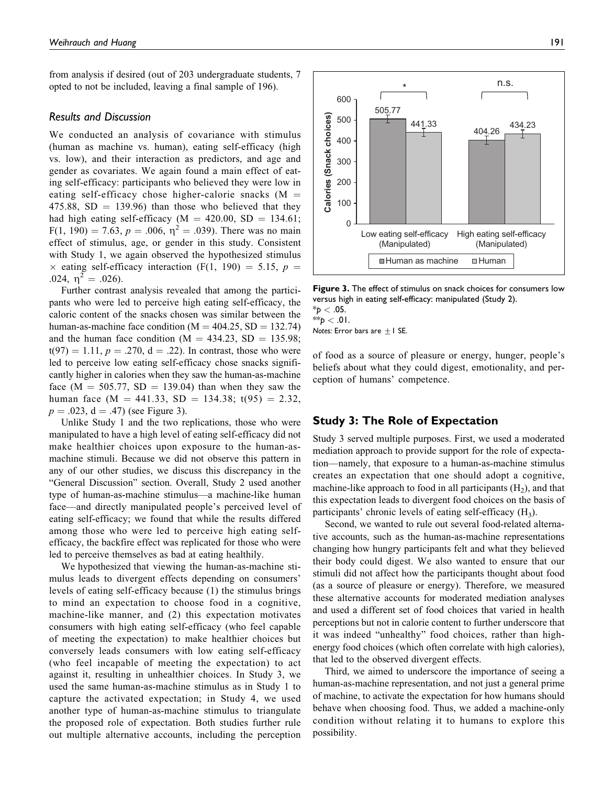from analysis if desired (out of 203 undergraduate students, 7 opted to not be included, leaving a final sample of 196).

#### *Results and Discussion*

We conducted an analysis of covariance with stimulus (human as machine vs. human), eating self-efficacy (high vs. low), and their interaction as predictors, and age and gender as covariates. We again found a main effect of eating self-efficacy: participants who believed they were low in eating self-efficacy chose higher-calorie snacks  $(M =$  $475.88$ , SD = 139.96) than those who believed that they had high eating self-efficacy ( $M = 420.00$ , SD = 134.61;  $F(1, 190) = 7.63, p = .006, \eta^2 = .039$ . There was no main effect of stimulus, age, or gender in this study. Consistent with Study 1, we again observed the hypothesized stimulus  $\times$  eating self-efficacy interaction (F(1, 190) = 5.15, p = .024,  $\eta^2 = .026$ ).

Further contrast analysis revealed that among the participants who were led to perceive high eating self-efficacy, the caloric content of the snacks chosen was similar between the human-as-machine face condition ( $M = 404.25$ , SD = 132.74) and the human face condition ( $M = 434.23$ , SD = 135.98;  $t(97) = 1.11$ ,  $p = .270$ ,  $d = .22$ ). In contrast, those who were led to perceive low eating self-efficacy chose snacks significantly higher in calories when they saw the human-as-machine face (M = 505.77, SD = 139.04) than when they saw the human face (M = 441.33, SD = 134.38;  $t(95) = 2.32$ ,  $p = .023$ ,  $d = .47$ ) (see Figure 3).

Unlike Study 1 and the two replications, those who were manipulated to have a high level of eating self-efficacy did not make healthier choices upon exposure to the human-asmachine stimuli. Because we did not observe this pattern in any of our other studies, we discuss this discrepancy in the "General Discussion" section. Overall, Study 2 used another type of human-as-machine stimulus—a machine-like human face—and directly manipulated people's perceived level of eating self-efficacy; we found that while the results differed among those who were led to perceive high eating selfefficacy, the backfire effect was replicated for those who were led to perceive themselves as bad at eating healthily.

We hypothesized that viewing the human-as-machine stimulus leads to divergent effects depending on consumers' levels of eating self-efficacy because (1) the stimulus brings to mind an expectation to choose food in a cognitive, machine-like manner, and (2) this expectation motivates consumers with high eating self-efficacy (who feel capable of meeting the expectation) to make healthier choices but conversely leads consumers with low eating self-efficacy (who feel incapable of meeting the expectation) to act against it, resulting in unhealthier choices. In Study 3, we used the same human-as-machine stimulus as in Study 1 to capture the activated expectation; in Study 4, we used another type of human-as-machine stimulus to triangulate the proposed role of expectation. Both studies further rule out multiple alternative accounts, including the perception



**Figure 3.** The effect of stimulus on snack choices for consumers low versus high in eating self-efficacy: manipulated (Study 2).  $^{\ast}$ *p*  $<$  .05. \*\**p* < .01.

*Notes:* Error bars are  $\pm$  1 SE.

of food as a source of pleasure or energy, hunger, people's beliefs about what they could digest, emotionality, and perception of humans' competence.

#### **Study 3: The Role of Expectation**

Study 3 served multiple purposes. First, we used a moderated mediation approach to provide support for the role of expectation—namely, that exposure to a human-as-machine stimulus creates an expectation that one should adopt a cognitive, machine-like approach to food in all participants  $(H<sub>2</sub>)$ , and that this expectation leads to divergent food choices on the basis of participants' chronic levels of eating self-efficacy  $(H_3)$ .

Second, we wanted to rule out several food-related alternative accounts, such as the human-as-machine representations changing how hungry participants felt and what they believed their body could digest. We also wanted to ensure that our stimuli did not affect how the participants thought about food (as a source of pleasure or energy). Therefore, we measured these alternative accounts for moderated mediation analyses and used a different set of food choices that varied in health perceptions but not in calorie content to further underscore that it was indeed "unhealthy" food choices, rather than highenergy food choices (which often correlate with high calories), that led to the observed divergent effects.

Third, we aimed to underscore the importance of seeing a human-as-machine representation, and not just a general prime of machine, to activate the expectation for how humans should behave when choosing food. Thus, we added a machine-only condition without relating it to humans to explore this possibility.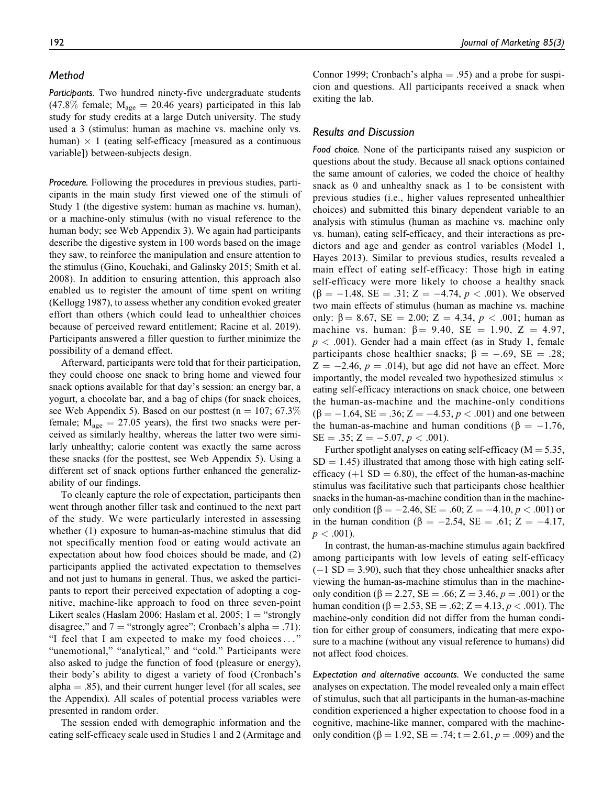#### *Method*

*Participants.* Two hundred ninety-five undergraduate students (47.8% female;  $M_{\text{age}} = 20.46$  years) participated in this lab study for study credits at a large Dutch university. The study used a 3 (stimulus: human as machine vs. machine only vs. human)  $\times$  1 (eating self-efficacy [measured as a continuous variable]) between-subjects design.

*Procedure.* Following the procedures in previous studies, participants in the main study first viewed one of the stimuli of Study 1 (the digestive system: human as machine vs. human), or a machine-only stimulus (with no visual reference to the human body; see Web Appendix 3). We again had participants describe the digestive system in 100 words based on the image they saw, to reinforce the manipulation and ensure attention to the stimulus (Gino, Kouchaki, and Galinsky 2015; Smith et al. 2008). In addition to ensuring attention, this approach also enabled us to register the amount of time spent on writing (Kellogg 1987), to assess whether any condition evoked greater effort than others (which could lead to unhealthier choices because of perceived reward entitlement; Racine et al. 2019). Participants answered a filler question to further minimize the possibility of a demand effect.

Afterward, participants were told that for their participation, they could choose one snack to bring home and viewed four snack options available for that day's session: an energy bar, a yogurt, a chocolate bar, and a bag of chips (for snack choices, see Web Appendix 5). Based on our posttest ( $n = 107$ ; 67.3% female;  $M_{\text{age}} = 27.05$  years), the first two snacks were perceived as similarly healthy, whereas the latter two were similarly unhealthy; calorie content was exactly the same across these snacks (for the posttest, see Web Appendix 5). Using a different set of snack options further enhanced the generalizability of our findings.

To cleanly capture the role of expectation, participants then went through another filler task and continued to the next part of the study. We were particularly interested in assessing whether (1) exposure to human-as-machine stimulus that did not specifically mention food or eating would activate an expectation about how food choices should be made, and (2) participants applied the activated expectation to themselves and not just to humans in general. Thus, we asked the participants to report their perceived expectation of adopting a cognitive, machine-like approach to food on three seven-point Likert scales (Haslam 2006; Haslam et al. 2005;  $1 =$  "strongly disagree," and  $7 =$  "strongly agree"; Cronbach's alpha = .71): "I feel that I am expected to make my food choices ... " "unemotional," "analytical," and "cold." Participants were also asked to judge the function of food (pleasure or energy), their body's ability to digest a variety of food (Cronbach's alpha  $=$  .85), and their current hunger level (for all scales, see the Appendix). All scales of potential process variables were presented in random order.

The session ended with demographic information and the eating self-efficacy scale used in Studies 1 and 2 (Armitage and Connor 1999; Cronbach's alpha  $= .95$ ) and a probe for suspicion and questions. All participants received a snack when exiting the lab.

#### *Results and Discussion*

*Food choice.* None of the participants raised any suspicion or questions about the study. Because all snack options contained the same amount of calories, we coded the choice of healthy snack as 0 and unhealthy snack as 1 to be consistent with previous studies (i.e., higher values represented unhealthier choices) and submitted this binary dependent variable to an analysis with stimulus (human as machine vs. machine only vs. human), eating self-efficacy, and their interactions as predictors and age and gender as control variables (Model 1, Hayes 2013). Similar to previous studies, results revealed a main effect of eating self-efficacy: Those high in eating self-efficacy were more likely to choose a healthy snack  $(\beta = -1.48, SE = .31; Z = -4.74, p < .001)$ . We observed two main effects of stimulus (human as machine vs. machine only:  $\beta = 8.67$ ,  $SE = 2.00$ ;  $Z = 4.34$ ,  $p < .001$ ; human as machine vs. human:  $\beta = 9.40$ , SE = 1.90, Z = 4.97,  $p < .001$ ). Gender had a main effect (as in Study 1, female participants chose healthier snacks;  $\beta = -.69$ , SE = .28;  $Z = -2.46$ ,  $p = .014$ ), but age did not have an effect. More importantly, the model revealed two hypothesized stimulus  $\times$ eating self-efficacy interactions on snack choice, one between the human-as-machine and the machine-only conditions  $(\beta = -1.64, SE = .36; Z = -4.53, p < .001)$  and one between the human-as-machine and human conditions ( $\beta = -1.76$ ,  $SE = .35; Z = -5.07, p < .001$ .

Further spotlight analyses on eating self-efficacy ( $M = 5.35$ ,  $SD = 1.45$ ) illustrated that among those with high eating selfefficacy (+1  $SD = 6.80$ ), the effect of the human-as-machine stimulus was facilitative such that participants chose healthier snacks in the human-as-machine condition than in the machineonly condition ( $\beta = -2.46$ ,  $SE = .60$ ;  $Z = -4.10$ ,  $p < .001$ ) or in the human condition ( $\beta = -2.54$ ,  $SE = .61$ ;  $Z = -4.17$ ,  $p < .001$ ).

In contrast, the human-as-machine stimulus again backfired among participants with low levels of eating self-efficacy  $(-1 SD = 3.90)$ , such that they chose unhealthier snacks after viewing the human-as-machine stimulus than in the machineonly condition ( $\beta = 2.27$ , SE = .66; Z = 3.46, p = .001) or the human condition ( $\beta = 2.53$ ,  $SE = .62$ ;  $Z = 4.13$ ,  $p < .001$ ). The machine-only condition did not differ from the human condition for either group of consumers, indicating that mere exposure to a machine (without any visual reference to humans) did not affect food choices.

*Expectation and alternative accounts.* We conducted the same analyses on expectation. The model revealed only a main effect of stimulus, such that all participants in the human-as-machine condition experienced a higher expectation to choose food in a cognitive, machine-like manner, compared with the machineonly condition ( $\beta = 1.92$ ,  $SE = .74$ ;  $t = 2.61$ ,  $p = .009$ ) and the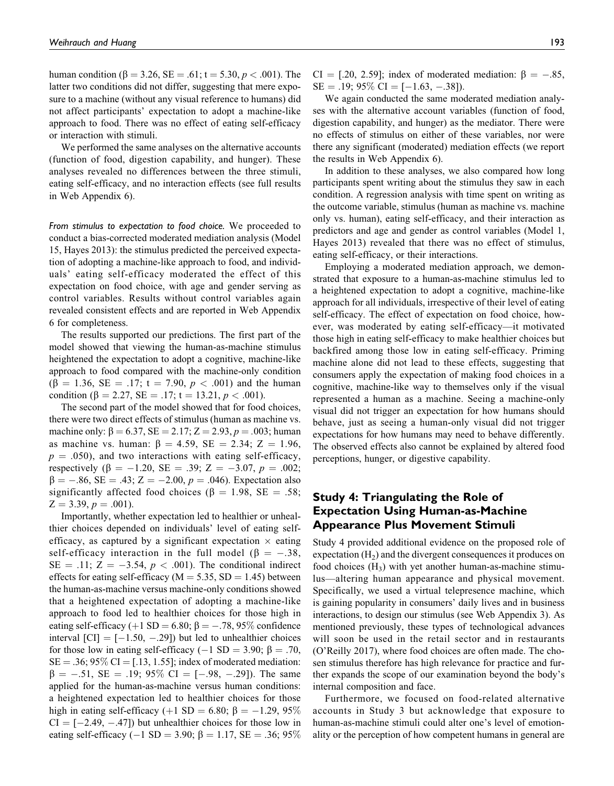human condition ( $\beta = 3.26$ , SE = .61; t = 5.30,  $p < .001$ ). The latter two conditions did not differ, suggesting that mere exposure to a machine (without any visual reference to humans) did not affect participants' expectation to adopt a machine-like approach to food. There was no effect of eating self-efficacy or interaction with stimuli.

We performed the same analyses on the alternative accounts (function of food, digestion capability, and hunger). These analyses revealed no differences between the three stimuli, eating self-efficacy, and no interaction effects (see full results in Web Appendix 6).

*From stimulus to expectation to food choice.* We proceeded to conduct a bias-corrected moderated mediation analysis (Model 15, Hayes 2013): the stimulus predicted the perceived expectation of adopting a machine-like approach to food, and individuals' eating self-efficacy moderated the effect of this expectation on food choice, with age and gender serving as control variables. Results without control variables again revealed consistent effects and are reported in Web Appendix 6 for completeness.

The results supported our predictions. The first part of the model showed that viewing the human-as-machine stimulus heightened the expectation to adopt a cognitive, machine-like approach to food compared with the machine-only condition  $(\beta = 1.36, SE = .17; t = 7.90, p < .001)$  and the human condition ( $\beta = 2.27$ ,  $SE = .17$ ; t = 13.21, p < .001).

The second part of the model showed that for food choices, there were two direct effects of stimulus (human as machine vs. machine only:  $\beta = 6.37$ , SE = 2.17; Z = 2.93, p = .003; human as machine vs. human:  $\beta = 4.59$ , SE = 2.34; Z = 1.96,  $p = .050$ , and two interactions with eating self-efficacy, respectively  $(\beta = -1.20, \text{ SE} = .39; Z = -3.07, p = .002;$  $\beta = -.86$ , SE = .43; Z = -2.00, p = .046). Expectation also significantly affected food choices ( $\beta = 1.98$ , SE = .58;  $Z = 3.39, p = .001$ .

Importantly, whether expectation led to healthier or unhealthier choices depended on individuals' level of eating selfefficacy, as captured by a significant expectation  $\times$  eating self-efficacy interaction in the full model ( $\beta = -.38$ ,  $SE = .11$ ;  $Z = -3.54$ ,  $p < .001$ ). The conditional indirect effects for eating self-efficacy ( $M = 5.35$ , SD = 1.45) between the human-as-machine versus machine-only conditions showed that a heightened expectation of adopting a machine-like approach to food led to healthier choices for those high in eating self-efficacy (+1 SD = 6.80;  $\beta$  = -.78, 95% confidence interval  $\text{[CI]} = [-1.50, -0.29]$  but led to unhealthier choices for those low in eating self-efficacy (-1 SD = 3.90;  $\beta$  = .70,  $SE = .36$ ; 95% CI = [.13, 1.55]; index of moderated mediation:  $\beta = -.51$ , SE = .19; 95% CI = [-.98, -.29]). The same applied for the human-as-machine versus human conditions: a heightened expectation led to healthier choices for those high in eating self-efficacy (+1 SD = 6.80;  $\beta$  = -1.29, 95%  $CI = [-2.49, -.47])$  but unhealthier choices for those low in eating self-efficacy ( $-1$  SD = 3.90;  $\beta$  = 1.17, SE = .36; 95% CI = [.20, 2.59]; index of moderated mediation:  $\beta = -.85$ ,  $SE = .19$ ; 95\%  $CI = [-1.63, -.38]$ .

We again conducted the same moderated mediation analyses with the alternative account variables (function of food, digestion capability, and hunger) as the mediator. There were no effects of stimulus on either of these variables, nor were there any significant (moderated) mediation effects (we report the results in Web Appendix 6).

In addition to these analyses, we also compared how long participants spent writing about the stimulus they saw in each condition. A regression analysis with time spent on writing as the outcome variable, stimulus (human as machine vs. machine only vs. human), eating self-efficacy, and their interaction as predictors and age and gender as control variables (Model 1, Hayes 2013) revealed that there was no effect of stimulus, eating self-efficacy, or their interactions.

Employing a moderated mediation approach, we demonstrated that exposure to a human-as-machine stimulus led to a heightened expectation to adopt a cognitive, machine-like approach for all individuals, irrespective of their level of eating self-efficacy. The effect of expectation on food choice, however, was moderated by eating self-efficacy—it motivated those high in eating self-efficacy to make healthier choices but backfired among those low in eating self-efficacy. Priming machine alone did not lead to these effects, suggesting that consumers apply the expectation of making food choices in a cognitive, machine-like way to themselves only if the visual represented a human as a machine. Seeing a machine-only visual did not trigger an expectation for how humans should behave, just as seeing a human-only visual did not trigger expectations for how humans may need to behave differently. The observed effects also cannot be explained by altered food perceptions, hunger, or digestive capability.

# **Study 4: Triangulating the Role of Expectation Using Human-as-Machine Appearance Plus Movement Stimuli**

Study 4 provided additional evidence on the proposed role of expectation  $(H<sub>2</sub>)$  and the divergent consequences it produces on food choices  $(H_3)$  with yet another human-as-machine stimulus—altering human appearance and physical movement. Specifically, we used a virtual telepresence machine, which is gaining popularity in consumers' daily lives and in business interactions, to design our stimulus (see Web Appendix 3). As mentioned previously, these types of technological advances will soon be used in the retail sector and in restaurants (O'Reilly 2017), where food choices are often made. The chosen stimulus therefore has high relevance for practice and further expands the scope of our examination beyond the body's internal composition and face.

Furthermore, we focused on food-related alternative accounts in Study 3 but acknowledge that exposure to human-as-machine stimuli could alter one's level of emotionality or the perception of how competent humans in general are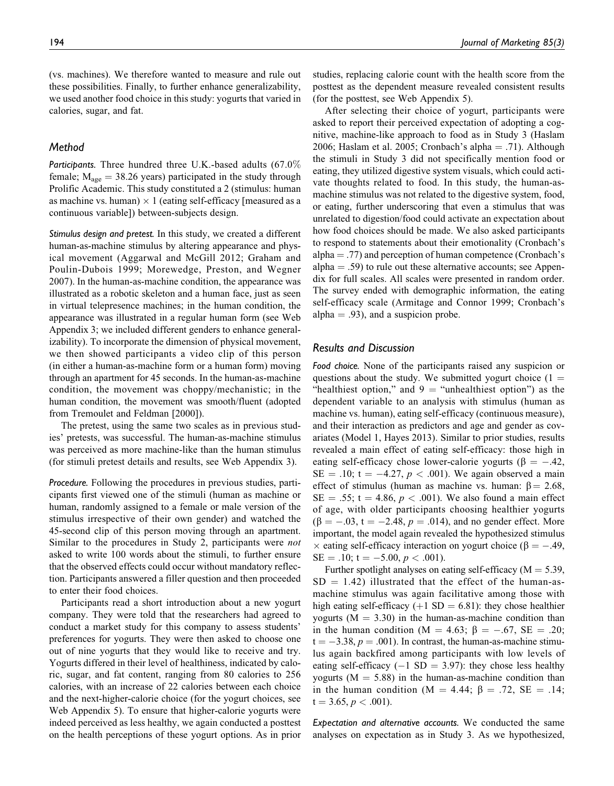(vs. machines). We therefore wanted to measure and rule out these possibilities. Finally, to further enhance generalizability, we used another food choice in this study: yogurts that varied in calories, sugar, and fat.

#### *Method*

*Participants.* Three hundred three U.K.-based adults (67.0% female;  $M_{\text{age}} = 38.26$  years) participated in the study through Prolific Academic. This study constituted a 2 (stimulus: human as machine vs. human)  $\times$  1 (eating self-efficacy [measured as a continuous variable]) between-subjects design.

*Stimulus design and pretest.* In this study, we created a different human-as-machine stimulus by altering appearance and physical movement (Aggarwal and McGill 2012; Graham and Poulin-Dubois 1999; Morewedge, Preston, and Wegner 2007). In the human-as-machine condition, the appearance was illustrated as a robotic skeleton and a human face, just as seen in virtual telepresence machines; in the human condition, the appearance was illustrated in a regular human form (see Web Appendix 3; we included different genders to enhance generalizability). To incorporate the dimension of physical movement, we then showed participants a video clip of this person (in either a human-as-machine form or a human form) moving through an apartment for 45 seconds. In the human-as-machine condition, the movement was choppy/mechanistic; in the human condition, the movement was smooth/fluent (adopted from Tremoulet and Feldman [2000]).

The pretest, using the same two scales as in previous studies' pretests, was successful. The human-as-machine stimulus was perceived as more machine-like than the human stimulus (for stimuli pretest details and results, see Web Appendix 3).

*Procedure.* Following the procedures in previous studies, participants first viewed one of the stimuli (human as machine or human, randomly assigned to a female or male version of the stimulus irrespective of their own gender) and watched the 45-second clip of this person moving through an apartment. Similar to the procedures in Study 2, participants were not asked to write 100 words about the stimuli, to further ensure that the observed effects could occur without mandatory reflection. Participants answered a filler question and then proceeded to enter their food choices.

Participants read a short introduction about a new yogurt company. They were told that the researchers had agreed to conduct a market study for this company to assess students' preferences for yogurts. They were then asked to choose one out of nine yogurts that they would like to receive and try. Yogurts differed in their level of healthiness, indicated by caloric, sugar, and fat content, ranging from 80 calories to 256 calories, with an increase of 22 calories between each choice and the next-higher-calorie choice (for the yogurt choices, see Web Appendix 5). To ensure that higher-calorie yogurts were indeed perceived as less healthy, we again conducted a posttest on the health perceptions of these yogurt options. As in prior

studies, replacing calorie count with the health score from the posttest as the dependent measure revealed consistent results (for the posttest, see Web Appendix 5).

After selecting their choice of yogurt, participants were asked to report their perceived expectation of adopting a cognitive, machine-like approach to food as in Study 3 (Haslam 2006; Haslam et al. 2005; Cronbach's alpha  $= .71$ ). Although the stimuli in Study 3 did not specifically mention food or eating, they utilized digestive system visuals, which could activate thoughts related to food. In this study, the human-asmachine stimulus was not related to the digestive system, food, or eating, further underscoring that even a stimulus that was unrelated to digestion/food could activate an expectation about how food choices should be made. We also asked participants to respond to statements about their emotionality (Cronbach's alpha  $=$  .77) and perception of human competence (Cronbach's alpha  $=$  .59) to rule out these alternative accounts; see Appendix for full scales. All scales were presented in random order. The survey ended with demographic information, the eating self-efficacy scale (Armitage and Connor 1999; Cronbach's alpha  $= .93$ ), and a suspicion probe.

#### *Results and Discussion*

*Food choice.* None of the participants raised any suspicion or questions about the study. We submitted yogurt choice  $(1 =$ "healthiest option," and  $9 =$  "unhealthiest option") as the dependent variable to an analysis with stimulus (human as machine vs. human), eating self-efficacy (continuous measure), and their interaction as predictors and age and gender as covariates (Model 1, Hayes 2013). Similar to prior studies, results revealed a main effect of eating self-efficacy: those high in eating self-efficacy chose lower-calorie yogurts ( $\beta = -.42$ ,  $SE = .10$ ; t = -4.27, p < .001). We again observed a main effect of stimulus (human as machine vs. human:  $\beta = 2.68$ ,  $SE = .55$ ; t = 4.86,  $p < .001$ ). We also found a main effect of age, with older participants choosing healthier yogurts  $(\beta = -.03, t = -2.48, p = .014)$ , and no gender effect. More important, the model again revealed the hypothesized stimulus  $\times$  eating self-efficacy interaction on yogurt choice ( $\beta = -.49$ ,  $SE = .10$ ; t = -5.00, p < .001).

Further spotlight analyses on eating self-efficacy ( $M = 5.39$ ,  $SD = 1.42$ ) illustrated that the effect of the human-asmachine stimulus was again facilitative among those with high eating self-efficacy (+1 SD = 6.81): they chose healthier yogurts  $(M = 3.30)$  in the human-as-machine condition than in the human condition (M = 4.63;  $\beta = -.67$ , SE = .20;  $t = -3.38$ ,  $p = .001$ ). In contrast, the human-as-machine stimulus again backfired among participants with low levels of eating self-efficacy ( $-1$  SD = 3.97): they chose less healthy yogurts ( $M = 5.88$ ) in the human-as-machine condition than in the human condition (M = 4.44;  $\beta$  = .72, SE = .14;  $t = 3.65, p < .001$ ).

*Expectation and alternative accounts.* We conducted the same analyses on expectation as in Study 3. As we hypothesized,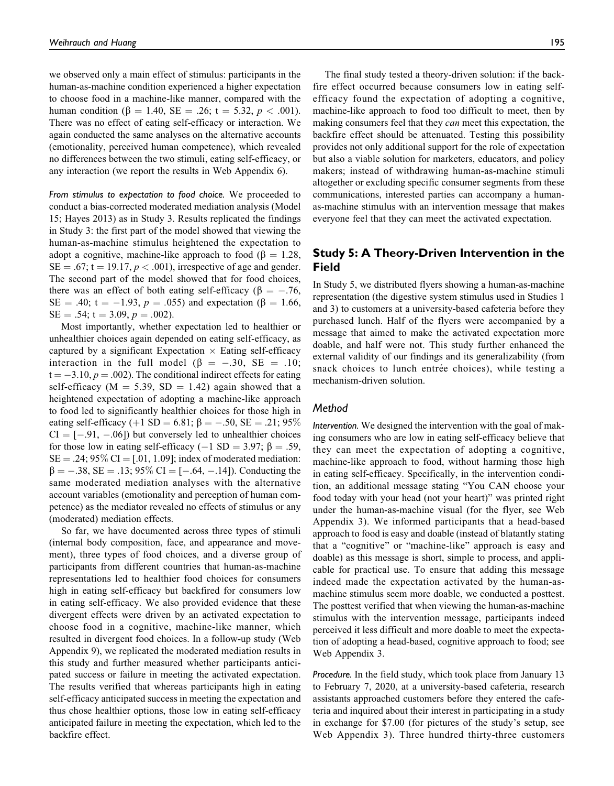we observed only a main effect of stimulus: participants in the human-as-machine condition experienced a higher expectation to choose food in a machine-like manner, compared with the human condition ( $\beta = 1.40$ , SE = .26; t = 5.32, p < .001). There was no effect of eating self-efficacy or interaction. We again conducted the same analyses on the alternative accounts (emotionality, perceived human competence), which revealed no differences between the two stimuli, eating self-efficacy, or any interaction (we report the results in Web Appendix 6).

*From stimulus to expectation to food choice.* We proceeded to conduct a bias-corrected moderated mediation analysis (Model 15; Hayes 2013) as in Study 3. Results replicated the findings in Study 3: the first part of the model showed that viewing the human-as-machine stimulus heightened the expectation to adopt a cognitive, machine-like approach to food ( $\beta = 1.28$ ,  $SE = .67$ ; t = 19.17,  $p < .001$ ), irrespective of age and gender. The second part of the model showed that for food choices, there was an effect of both eating self-efficacy ( $\beta = -.76$ ,  $SE = .40$ ; t = -1.93, p = .055) and expectation ( $\beta = 1.66$ ,  $SE = .54$ ; t = 3.09, p = .002).

Most importantly, whether expectation led to healthier or unhealthier choices again depended on eating self-efficacy, as captured by a significant Expectation  $\times$  Eating self-efficacy interaction in the full model ( $\beta = -.30$ , SE = .10;  $t = -3.10, p = .002$ . The conditional indirect effects for eating self-efficacy ( $M = 5.39$ ,  $SD = 1.42$ ) again showed that a heightened expectation of adopting a machine-like approach to food led to significantly healthier choices for those high in eating self-efficacy (+1 SD = 6.81;  $\beta$  = -.50, SE = .21; 95%  $CI = [-.91, -.06]$  but conversely led to unhealthier choices for those low in eating self-efficacy (-1 SD = 3.97;  $\beta = .59$ ,  $SE = .24$ ; 95%  $CI = [.01, 1.09]$ ; index of moderated mediation:  $\beta = -.38$ , SE = .13; 95\% CI = [-.64, -.14]). Conducting the same moderated mediation analyses with the alternative account variables (emotionality and perception of human competence) as the mediator revealed no effects of stimulus or any (moderated) mediation effects.

So far, we have documented across three types of stimuli (internal body composition, face, and appearance and movement), three types of food choices, and a diverse group of participants from different countries that human-as-machine representations led to healthier food choices for consumers high in eating self-efficacy but backfired for consumers low in eating self-efficacy. We also provided evidence that these divergent effects were driven by an activated expectation to choose food in a cognitive, machine-like manner, which resulted in divergent food choices. In a follow-up study (Web Appendix 9), we replicated the moderated mediation results in this study and further measured whether participants anticipated success or failure in meeting the activated expectation. The results verified that whereas participants high in eating self-efficacy anticipated success in meeting the expectation and thus chose healthier options, those low in eating self-efficacy anticipated failure in meeting the expectation, which led to the backfire effect.

The final study tested a theory-driven solution: if the backfire effect occurred because consumers low in eating selfefficacy found the expectation of adopting a cognitive, machine-like approach to food too difficult to meet, then by making consumers feel that they *can* meet this expectation, the backfire effect should be attenuated. Testing this possibility provides not only additional support for the role of expectation but also a viable solution for marketers, educators, and policy makers; instead of withdrawing human-as-machine stimuli altogether or excluding specific consumer segments from these communications, interested parties can accompany a humanas-machine stimulus with an intervention message that makes everyone feel that they can meet the activated expectation.

# **Study 5: A Theory-Driven Intervention in the Field**

In Study 5, we distributed flyers showing a human-as-machine representation (the digestive system stimulus used in Studies 1 and 3) to customers at a university-based cafeteria before they purchased lunch. Half of the flyers were accompanied by a message that aimed to make the activated expectation more doable, and half were not. This study further enhanced the external validity of our findings and its generalizability (from snack choices to lunch entrée choices), while testing a mechanism-driven solution.

#### *Method*

*Intervention.* We designed the intervention with the goal of making consumers who are low in eating self-efficacy believe that they can meet the expectation of adopting a cognitive, machine-like approach to food, without harming those high in eating self-efficacy. Specifically, in the intervention condition, an additional message stating "You CAN choose your food today with your head (not your heart)" was printed right under the human-as-machine visual (for the flyer, see Web Appendix 3). We informed participants that a head-based approach to food is easy and doable (instead of blatantly stating that a "cognitive" or "machine-like" approach is easy and doable) as this message is short, simple to process, and applicable for practical use. To ensure that adding this message indeed made the expectation activated by the human-asmachine stimulus seem more doable, we conducted a posttest. The posttest verified that when viewing the human-as-machine stimulus with the intervention message, participants indeed perceived it less difficult and more doable to meet the expectation of adopting a head-based, cognitive approach to food; see Web Appendix 3.

*Procedure.* In the field study, which took place from January 13 to February 7, 2020, at a university-based cafeteria, research assistants approached customers before they entered the cafeteria and inquired about their interest in participating in a study in exchange for \$7.00 (for pictures of the study's setup, see Web Appendix 3). Three hundred thirty-three customers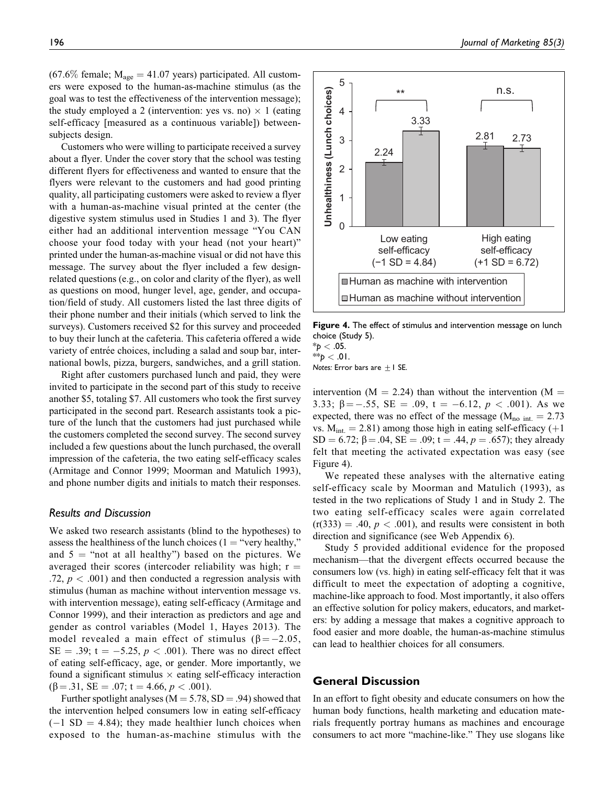$(67.6\%$  female;  $M_{\text{age}} = 41.07$  years) participated. All customers were exposed to the human-as-machine stimulus (as the goal was to test the effectiveness of the intervention message); the study employed a 2 (intervention: yes vs. no)  $\times$  1 (eating self-efficacy [measured as a continuous variable]) betweensubjects design.

Customers who were willing to participate received a survey about a flyer. Under the cover story that the school was testing different flyers for effectiveness and wanted to ensure that the flyers were relevant to the customers and had good printing quality, all participating customers were asked to review a flyer with a human-as-machine visual printed at the center (the digestive system stimulus used in Studies 1 and 3). The flyer either had an additional intervention message "You CAN choose your food today with your head (not your heart)" printed under the human-as-machine visual or did not have this message. The survey about the flyer included a few designrelated questions (e.g., on color and clarity of the flyer), as well as questions on mood, hunger level, age, gender, and occupation/field of study. All customers listed the last three digits of their phone number and their initials (which served to link the surveys). Customers received \$2 for this survey and proceeded to buy their lunch at the cafeteria. This cafeteria offered a wide variety of entrée choices, including a salad and soup bar, international bowls, pizza, burgers, sandwiches, and a grill station.

Right after customers purchased lunch and paid, they were invited to participate in the second part of this study to receive another \$5, totaling \$7. All customers who took the first survey participated in the second part. Research assistants took a picture of the lunch that the customers had just purchased while the customers completed the second survey. The second survey included a few questions about the lunch purchased, the overall impression of the cafeteria, the two eating self-efficacy scales (Armitage and Connor 1999; Moorman and Matulich 1993), and phone number digits and initials to match their responses.

#### *Results and Discussion*

We asked two research assistants (blind to the hypotheses) to assess the healthiness of the lunch choices ( $1 =$  "very healthy," and  $5$  = "not at all healthy") based on the pictures. We averaged their scores (intercoder reliability was high;  $r =$ .72,  $p < .001$ ) and then conducted a regression analysis with stimulus (human as machine without intervention message vs. with intervention message), eating self-efficacy (Armitage and Connor 1999), and their interaction as predictors and age and gender as control variables (Model 1, Hayes 2013). The model revealed a main effect of stimulus ( $\beta = -2.05$ ,  $SE = .39$ ;  $t = -5.25$ ,  $p < .001$ ). There was no direct effect of eating self-efficacy, age, or gender. More importantly, we found a significant stimulus  $\times$  eating self-efficacy interaction  $(\beta = .31, SE = .07; t = 4.66, p < .001).$ 

Further spotlight analyses ( $M = 5.78$ , SD = .94) showed that the intervention helped consumers low in eating self-efficacy  $(-1 \text{ SD} = 4.84)$ ; they made healthier lunch choices when exposed to the human-as-machine stimulus with the



**Figure 4.** The effect of stimulus and intervention message on lunch choice (Study 5).

 $*$ *p*  $< .05$ . \*\**p* < .01.

*Notes:* Error bars are  $\pm$  1 SE.

intervention ( $M = 2.24$ ) than without the intervention ( $M =$ 3.33;  $\beta = -.55$ ,  $SE = .09$ ,  $t = -6.12$ ,  $p < .001$ ). As we expected, there was no effect of the message ( $M_{\text{no int.}} = 2.73$ ) vs.  $M_{int.} = 2.81$ ) among those high in eating self-efficacy (+1)  $SD = 6.72$ ;  $\beta = .04$ ,  $SE = .09$ ;  $t = .44$ ,  $p = .657$ ); they already felt that meeting the activated expectation was easy (see Figure 4).

We repeated these analyses with the alternative eating self-efficacy scale by Moorman and Matulich (1993), as tested in the two replications of Study 1 and in Study 2. The two eating self-efficacy scales were again correlated  $(r(333) = .40, p < .001)$ , and results were consistent in both direction and significance (see Web Appendix 6).

Study 5 provided additional evidence for the proposed mechanism—that the divergent effects occurred because the consumers low (vs. high) in eating self-efficacy felt that it was difficult to meet the expectation of adopting a cognitive, machine-like approach to food. Most importantly, it also offers an effective solution for policy makers, educators, and marketers: by adding a message that makes a cognitive approach to food easier and more doable, the human-as-machine stimulus can lead to healthier choices for all consumers.

#### **General Discussion**

In an effort to fight obesity and educate consumers on how the human body functions, health marketing and education materials frequently portray humans as machines and encourage consumers to act more "machine-like." They use slogans like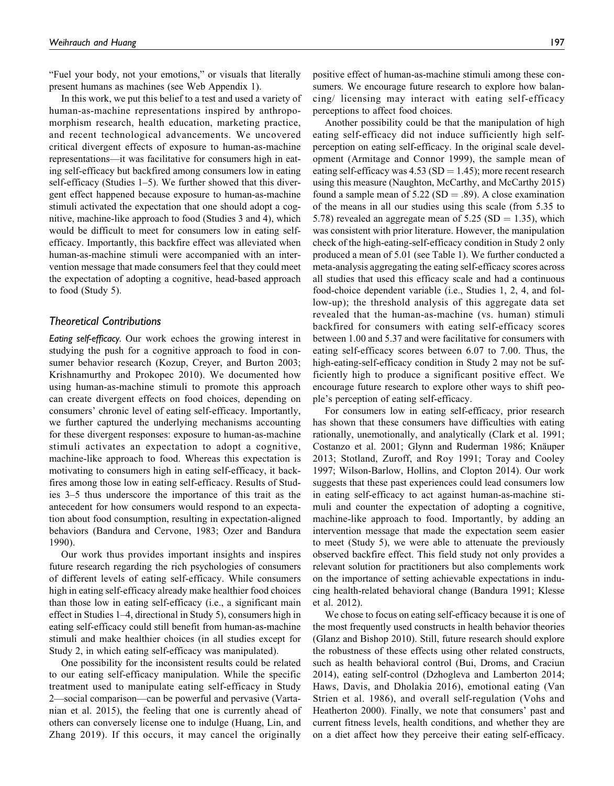"Fuel your body, not your emotions," or visuals that literally present humans as machines (see Web Appendix 1).

In this work, we put this belief to a test and used a variety of human-as-machine representations inspired by anthropomorphism research, health education, marketing practice, and recent technological advancements. We uncovered critical divergent effects of exposure to human-as-machine representations—it was facilitative for consumers high in eating self-efficacy but backfired among consumers low in eating self-efficacy (Studies 1–5). We further showed that this divergent effect happened because exposure to human-as-machine stimuli activated the expectation that one should adopt a cognitive, machine-like approach to food (Studies 3 and 4), which would be difficult to meet for consumers low in eating selfefficacy. Importantly, this backfire effect was alleviated when human-as-machine stimuli were accompanied with an intervention message that made consumers feel that they could meet the expectation of adopting a cognitive, head-based approach to food (Study 5).

#### *Theoretical Contributions*

*Eating self-efficacy.* Our work echoes the growing interest in studying the push for a cognitive approach to food in consumer behavior research (Kozup, Creyer, and Burton 2003; Krishnamurthy and Prokopec 2010). We documented how using human-as-machine stimuli to promote this approach can create divergent effects on food choices, depending on consumers' chronic level of eating self-efficacy. Importantly, we further captured the underlying mechanisms accounting for these divergent responses: exposure to human-as-machine stimuli activates an expectation to adopt a cognitive, machine-like approach to food. Whereas this expectation is motivating to consumers high in eating self-efficacy, it backfires among those low in eating self-efficacy. Results of Studies 3–5 thus underscore the importance of this trait as the antecedent for how consumers would respond to an expectation about food consumption, resulting in expectation-aligned behaviors (Bandura and Cervone, 1983; Ozer and Bandura 1990).

Our work thus provides important insights and inspires future research regarding the rich psychologies of consumers of different levels of eating self-efficacy. While consumers high in eating self-efficacy already make healthier food choices than those low in eating self-efficacy (i.e., a significant main effect in Studies 1–4, directional in Study 5), consumers high in eating self-efficacy could still benefit from human-as-machine stimuli and make healthier choices (in all studies except for Study 2, in which eating self-efficacy was manipulated).

One possibility for the inconsistent results could be related to our eating self-efficacy manipulation. While the specific treatment used to manipulate eating self-efficacy in Study 2—social comparison—can be powerful and pervasive (Vartanian et al. 2015), the feeling that one is currently ahead of others can conversely license one to indulge (Huang, Lin, and Zhang 2019). If this occurs, it may cancel the originally positive effect of human-as-machine stimuli among these consumers. We encourage future research to explore how balancing/ licensing may interact with eating self-efficacy perceptions to affect food choices.

Another possibility could be that the manipulation of high eating self-efficacy did not induce sufficiently high selfperception on eating self-efficacy. In the original scale development (Armitage and Connor 1999), the sample mean of eating self-efficacy was  $4.53$  (SD = 1.45); more recent research using this measure (Naughton, McCarthy, and McCarthy 2015) found a sample mean of  $5.22$  (SD = .89). A close examination of the means in all our studies using this scale (from 5.35 to 5.78) revealed an aggregate mean of  $5.25$  (SD = 1.35), which was consistent with prior literature. However, the manipulation check of the high-eating-self-efficacy condition in Study 2 only produced a mean of 5.01 (see Table 1). We further conducted a meta-analysis aggregating the eating self-efficacy scores across all studies that used this efficacy scale and had a continuous food-choice dependent variable (i.e., Studies 1, 2, 4, and follow-up); the threshold analysis of this aggregate data set revealed that the human-as-machine (vs. human) stimuli backfired for consumers with eating self-efficacy scores between 1.00 and 5.37 and were facilitative for consumers with eating self-efficacy scores between 6.07 to 7.00. Thus, the high-eating-self-efficacy condition in Study 2 may not be sufficiently high to produce a significant positive effect. We encourage future research to explore other ways to shift people's perception of eating self-efficacy.

For consumers low in eating self-efficacy, prior research has shown that these consumers have difficulties with eating rationally, unemotionally, and analytically (Clark et al. 1991; Costanzo et al. 2001; Glynn and Ruderman 1986; Knäuper 2013; Stotland, Zuroff, and Roy 1991; Toray and Cooley 1997; Wilson-Barlow, Hollins, and Clopton 2014). Our work suggests that these past experiences could lead consumers low in eating self-efficacy to act against human-as-machine stimuli and counter the expectation of adopting a cognitive, machine-like approach to food. Importantly, by adding an intervention message that made the expectation seem easier to meet (Study 5), we were able to attenuate the previously observed backfire effect. This field study not only provides a relevant solution for practitioners but also complements work on the importance of setting achievable expectations in inducing health-related behavioral change (Bandura 1991; Klesse et al. 2012).

We chose to focus on eating self-efficacy because it is one of the most frequently used constructs in health behavior theories (Glanz and Bishop 2010). Still, future research should explore the robustness of these effects using other related constructs, such as health behavioral control (Bui, Droms, and Craciun 2014), eating self-control (Dzhogleva and Lamberton 2014; Haws, Davis, and Dholakia 2016), emotional eating (Van Strien et al. 1986), and overall self-regulation (Vohs and Heatherton 2000). Finally, we note that consumers' past and current fitness levels, health conditions, and whether they are on a diet affect how they perceive their eating self-efficacy.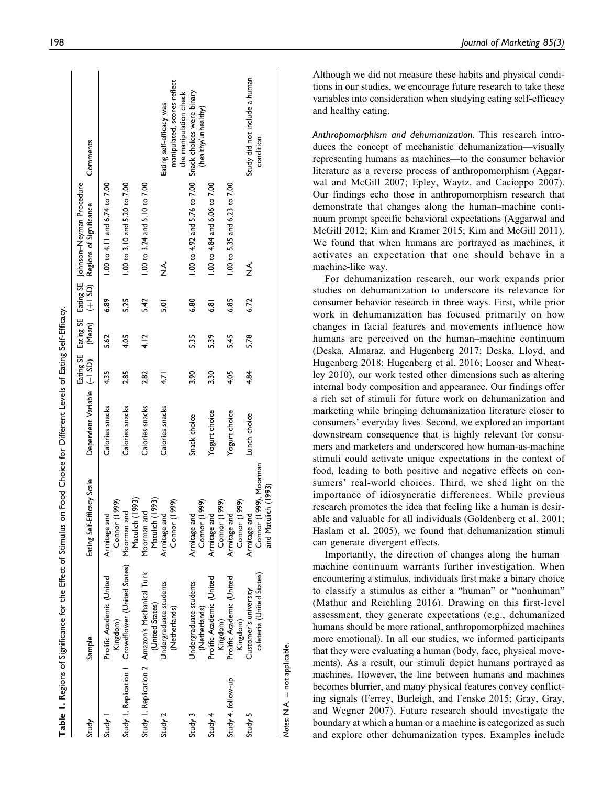|                    |                                                                    | Table 1. Regions of Significance for the Effect of Stimulus on Food Choice for Different Levels of Eating Self-Efficacy. |                            |               |      |         |                                                                                                  |                                                         |
|--------------------|--------------------------------------------------------------------|--------------------------------------------------------------------------------------------------------------------------|----------------------------|---------------|------|---------|--------------------------------------------------------------------------------------------------|---------------------------------------------------------|
| Study              | Sample                                                             | Eating Self-Efficacy Scale                                                                                               | Dependent Variable (-I SD) |               |      |         | Eating SE Eating SE Eating SE Johnson-Neyman Procedure<br>(Mean) (+1 SD) Regions of Significance | Comments                                                |
| Study 1            | Prolific Academic (United<br>Kingdom)                              | Connor (1999)<br>Armitage and                                                                                            | Calories snacks            | 4.35          | 5.62 | 6.89    | 1.00 to 4.11 and 6.74 to 7.00                                                                    |                                                         |
|                    | Study I, Replication I Crowdflower (United States) Moorman and     | Matulich (1993)                                                                                                          | Calories snacks            | 2.85          | 4.05 | 5.25    | 1.00 to 3.10 and 5.20 to 7.00                                                                    |                                                         |
|                    | Study I, Replication 2 Amazon's Mechanical Turk<br>(United States) | Matulich (1993)<br>Moorman and                                                                                           | Calories snacks            | 2.82          | 4.12 | 5.42    | 1.00 to 3.24 and 5.10 to 7.00                                                                    |                                                         |
| Study 2            | Undergraduate students<br>(Netherlands)                            | Connor (1999)<br>Armitage and                                                                                            | Calories snacks            | $\frac{1}{4}$ |      | 5.OI    | ≺<br>Z                                                                                           | manipulated, scores reflect<br>Eating self-efficacy was |
| Study 3            | Undergraduate students<br>(Netherlands)                            | Armitage and                                                                                                             | Snack choice               | 3.90          | 5.35 | 6.80    | 1.00 to 4.92 and 5.76 to 7.00                                                                    | Snack choices were binary<br>the manipulation check     |
| Study 4            | Prolific Academic (United<br>Kingdom)                              | Connor (1999)<br>Connor (1999)<br>and<br>Armitage                                                                        | Yogurt choice              | 3.30          | 539  | اھ<br>ف | 1.00 to 4.84 and 6.06 to 7.00                                                                    | (healthy/unhealthy)                                     |
| Study 4, follow-up | Prolific Academic (United<br>Kingdom)                              | Connor (1999)<br>hue<br>Armitage                                                                                         | Yogurt choice              | 4.05          | 5.45 | 6.85    | 1.00 to 5.35 and 6.23 to 7.00                                                                    |                                                         |
| Study 5            | Customer's university                                              | Armitage and                                                                                                             | Lunch choice               | 4.84          | 5.78 | 6.72    | ≤<br>Z                                                                                           | Study did not include a human                           |
|                    | cafeteria (United States)                                          | Connor (1999), Moorman<br>and Matulich (1993)                                                                            |                            |               |      |         |                                                                                                  | condition                                               |

Although we did not measure these habits and physical conditions in our studies, we encourage future research to take these variables into consideration when studying eating self-efficacy and healthy eating.

*Anthropomorphism and dehumanization.* This research introduces the concept of mechanistic dehumanization—visually representing humans as machines—to the consumer behavior literature as a reverse process of anthropomorphism (Aggarwal and McGill 2007; Epley, Waytz, and Cacioppo 2007). Our findings echo those in anthropomorphism research that demonstrate that changes along the human–machine continuum prompt specific behavioral expectations (Aggarwal and McGill 2012; Kim and Kramer 2015; Kim and McGill 2011). We found that when humans are portrayed as machines, it activates an expectation that one should behave in a machine-like way.

For dehumanization research, our work expands prior studies on dehumanization to underscore its relevance for consumer behavior research in three ways. First, while prior work in dehumanization has focused primarily on how changes in facial features and movements influence how humans are perceived on the human–machine continuum (Deska, Almaraz, and Hugenberg 2017; Deska, Lloyd, and Hugenberg 2018; Hugenberg et al. 2016; Looser and Wheatley 2010), our work tested other dimensions such as altering internal body composition and appearance. Our findings offer a rich set of stimuli for future work on dehumanization and marketing while bringing dehumanization literature closer to consumers' everyday lives. Second, we explored an important downstream consequence that is highly relevant for consumers and marketers and underscored how human-as-machine stimuli could activate unique expectations in the context of food, leading to both positive and negative effects on consumers' real-world choices. Third, we shed light on the importance of idiosyncratic differences. While previous research promotes the idea that feeling like a human is desirable and valuable for all individuals (Goldenberg et al. 2001; Haslam et al. 2005), we found that dehumanization stimuli can generate divergent effects.

Importantly, the direction of changes along the human– machine continuum warrants further investigation. When encountering a stimulus, individuals first make a binary choice to classify a stimulus as either a "human" or "nonhuman" (Mathur and Reichling 2016). Drawing on this first-level assessment, they generate expectations (e.g., dehumanized humans should be more rational, anthropomorphized machines more emotional). In all our studies, we informed participants that they were evaluating a human (body, face, physical movements). As a result, our stimuli depict humans portrayed as machines. However, the line between humans and machines becomes blurrier, and many physical features convey conflicting signals (Ferrey, Burleigh, and Fenske 2015; Gray, Gray, and Wegner 2007). Future research should investigate the boundary at which a human or a machine is categorized as such and explore other dehumanization types. Examples include

*Notes:* N.A.

Notes: N.A. = not applicable. not applicable.

 $\overline{1}$ 

 $\overline{\phantom{a}}$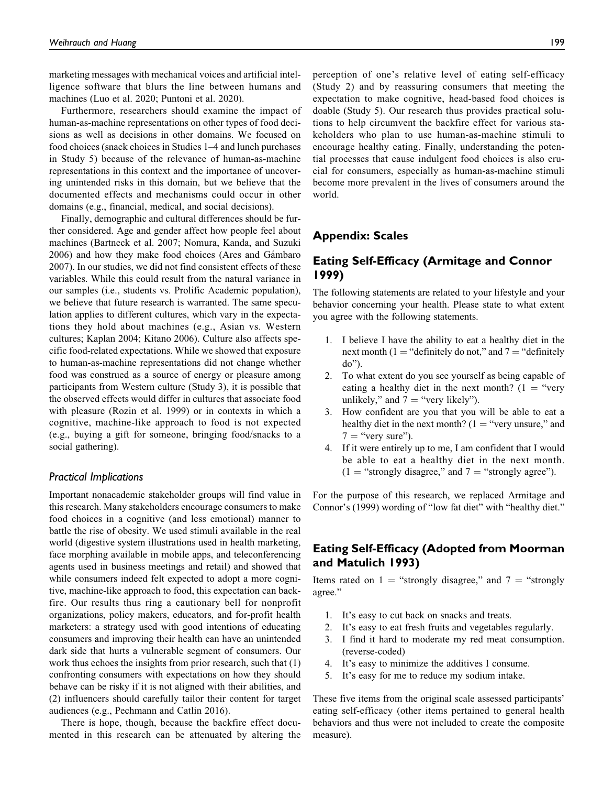marketing messages with mechanical voices and artificial intelligence software that blurs the line between humans and machines (Luo et al. 2020; Puntoni et al. 2020).

Furthermore, researchers should examine the impact of human-as-machine representations on other types of food decisions as well as decisions in other domains. We focused on food choices (snack choices in Studies 1–4 and lunch purchases in Study 5) because of the relevance of human-as-machine representations in this context and the importance of uncovering unintended risks in this domain, but we believe that the documented effects and mechanisms could occur in other domains (e.g., financial, medical, and social decisions).

Finally, demographic and cultural differences should be further considered. Age and gender affect how people feel about machines (Bartneck et al. 2007; Nomura, Kanda, and Suzuki 2006) and how they make food choices (Ares and Gámbaro 2007). In our studies, we did not find consistent effects of these variables. While this could result from the natural variance in our samples (i.e., students vs. Prolific Academic population), we believe that future research is warranted. The same speculation applies to different cultures, which vary in the expectations they hold about machines (e.g., Asian vs. Western cultures; Kaplan 2004; Kitano 2006). Culture also affects specific food-related expectations. While we showed that exposure to human-as-machine representations did not change whether food was construed as a source of energy or pleasure among participants from Western culture (Study 3), it is possible that the observed effects would differ in cultures that associate food with pleasure (Rozin et al. 1999) or in contexts in which a cognitive, machine-like approach to food is not expected (e.g., buying a gift for someone, bringing food/snacks to a social gathering).

#### *Practical Implications*

Important nonacademic stakeholder groups will find value in this research. Many stakeholders encourage consumers to make food choices in a cognitive (and less emotional) manner to battle the rise of obesity. We used stimuli available in the real world (digestive system illustrations used in health marketing, face morphing available in mobile apps, and teleconferencing agents used in business meetings and retail) and showed that while consumers indeed felt expected to adopt a more cognitive, machine-like approach to food, this expectation can backfire. Our results thus ring a cautionary bell for nonprofit organizations, policy makers, educators, and for-profit health marketers: a strategy used with good intentions of educating consumers and improving their health can have an unintended dark side that hurts a vulnerable segment of consumers. Our work thus echoes the insights from prior research, such that (1) confronting consumers with expectations on how they should behave can be risky if it is not aligned with their abilities, and (2) influencers should carefully tailor their content for target audiences (e.g., Pechmann and Catlin 2016).

There is hope, though, because the backfire effect documented in this research can be attenuated by altering the

perception of one's relative level of eating self-efficacy (Study 2) and by reassuring consumers that meeting the expectation to make cognitive, head-based food choices is doable (Study 5). Our research thus provides practical solutions to help circumvent the backfire effect for various stakeholders who plan to use human-as-machine stimuli to encourage healthy eating. Finally, understanding the potential processes that cause indulgent food choices is also crucial for consumers, especially as human-as-machine stimuli become more prevalent in the lives of consumers around the world.

### **Appendix: Scales**

# **Eating Self-Efficacy (Armitage and Connor 1999)**

The following statements are related to your lifestyle and your behavior concerning your health. Please state to what extent you agree with the following statements.

- 1. I believe I have the ability to eat a healthy diet in the next month (1 = "definitely do not," and  $7$  = "definitely do").
- 2. To what extent do you see yourself as being capable of eating a healthy diet in the next month?  $(1 - "very$ unlikely," and  $7 =$  "very likely").
- 3. How confident are you that you will be able to eat a healthy diet in the next month?  $(1 = "very answer," and$  $7 =$  "very sure").
- 4. If it were entirely up to me, I am confident that I would be able to eat a healthy diet in the next month.  $(1 = "strongly disagree," and 7 = "strongly agree").$

For the purpose of this research, we replaced Armitage and Connor's (1999) wording of "low fat diet" with "healthy diet."

### **Eating Self-Efficacy (Adopted from Moorman and Matulich 1993)**

Items rated on  $1$  = "strongly disagree," and  $7$  = "strongly agree."

- 1. It's easy to cut back on snacks and treats.
- 2. It's easy to eat fresh fruits and vegetables regularly.
- 3. I find it hard to moderate my red meat consumption. (reverse-coded)
- 4. It's easy to minimize the additives I consume.
- 5. It's easy for me to reduce my sodium intake.

These five items from the original scale assessed participants' eating self-efficacy (other items pertained to general health behaviors and thus were not included to create the composite measure).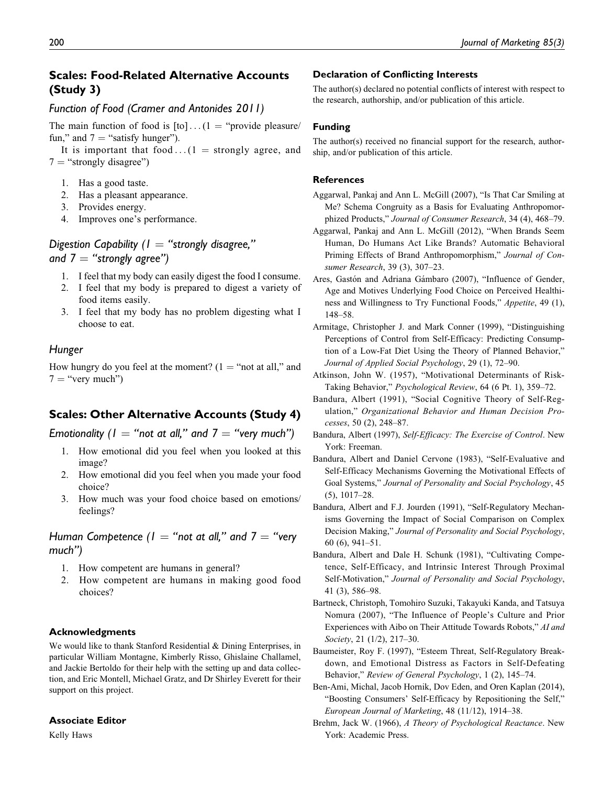# **Scales: Food-Related Alternative Accounts (Study 3)**

### *Function of Food (Cramer and Antonides 2011)*

The main function of food is  $[\text{to}] \dots (1 = \text{``provide pleasure/})$ fun," and  $7 =$  "satisfy hunger").

It is important that food  $\dots(1)$  = strongly agree, and  $7$  = "strongly disagree")

- 1. Has a good taste.
- 2. Has a pleasant appearance.
- 3. Provides energy.
- 4. Improves one's performance.

# *Digestion Capability (1 = "strongly disagree,"* and  $7 =$  "strongly agree")

- 1. I feel that my body can easily digest the food I consume.
- 2. I feel that my body is prepared to digest a variety of food items easily.
- 3. I feel that my body has no problem digesting what I choose to eat.

### *Hunger*

How hungry do you feel at the moment?  $(1 = "not at all," and)$  $7 =$  "very much")

# **Scales: Other Alternative Accounts (Study 4)**

*Emotionality (1 = "not at all," and 7 = "very much")* 

- 1. How emotional did you feel when you looked at this image?
- 2. How emotional did you feel when you made your food choice?
- 3. How much was your food choice based on emotions/ feelings?

*Human Competence*  $(I = "not at all," and  $7 = "very"$$ *much")*

- 1. How competent are humans in general?
- 2. How competent are humans in making good food choices?

#### **Acknowledgments**

We would like to thank Stanford Residential & Dining Enterprises, in particular William Montagne, Kimberly Risso, Ghislaine Challamel, and Jackie Bertoldo for their help with the setting up and data collection, and Eric Montell, Michael Gratz, and Dr Shirley Everett for their support on this project.

#### **Associate Editor**

Kelly Haws

#### **Declaration of Conflicting Interests**

The author(s) declared no potential conflicts of interest with respect to the research, authorship, and/or publication of this article.

#### **Funding**

The author(s) received no financial support for the research, authorship, and/or publication of this article.

#### **References**

- Aggarwal, Pankaj and Ann L. McGill (2007), "Is That Car Smiling at Me? Schema Congruity as a Basis for Evaluating Anthropomorphized Products," Journal of Consumer Research, 34 (4), 468–79.
- Aggarwal, Pankaj and Ann L. McGill (2012), "When Brands Seem Human, Do Humans Act Like Brands? Automatic Behavioral Priming Effects of Brand Anthropomorphism," Journal of Consumer Research, 39 (3), 307–23.
- Ares, Gastón and Adriana Gámbaro (2007), "Influence of Gender, Age and Motives Underlying Food Choice on Perceived Healthiness and Willingness to Try Functional Foods," Appetite, 49 (1), 148–58.
- Armitage, Christopher J. and Mark Conner (1999), "Distinguishing Perceptions of Control from Self-Efficacy: Predicting Consumption of a Low-Fat Diet Using the Theory of Planned Behavior," Journal of Applied Social Psychology, 29 (1), 72–90.
- Atkinson, John W. (1957), "Motivational Determinants of Risk-Taking Behavior," Psychological Review, 64 (6 Pt. 1), 359–72.
- Bandura, Albert (1991), "Social Cognitive Theory of Self-Regulation," Organizational Behavior and Human Decision Processes, 50 (2), 248–87.
- Bandura, Albert (1997), Self-Efficacy: The Exercise of Control. New York: Freeman.
- Bandura, Albert and Daniel Cervone (1983), "Self-Evaluative and Self-Efficacy Mechanisms Governing the Motivational Effects of Goal Systems," Journal of Personality and Social Psychology, 45 (5), 1017–28.
- Bandura, Albert and F.J. Jourden (1991), "Self-Regulatory Mechanisms Governing the Impact of Social Comparison on Complex Decision Making," Journal of Personality and Social Psychology, 60 (6), 941–51.
- Bandura, Albert and Dale H. Schunk (1981), "Cultivating Competence, Self-Efficacy, and Intrinsic Interest Through Proximal Self-Motivation," Journal of Personality and Social Psychology, 41 (3), 586–98.
- Bartneck, Christoph, Tomohiro Suzuki, Takayuki Kanda, and Tatsuya Nomura (2007), "The Influence of People's Culture and Prior Experiences with Aibo on Their Attitude Towards Robots," AI and Society, 21 (1/2), 217–30.
- Baumeister, Roy F. (1997), "Esteem Threat, Self-Regulatory Breakdown, and Emotional Distress as Factors in Self-Defeating Behavior," Review of General Psychology, 1 (2), 145-74.
- Ben-Ami, Michal, Jacob Hornik, Dov Eden, and Oren Kaplan (2014), "Boosting Consumers' Self-Efficacy by Repositioning the Self," European Journal of Marketing, 48 (11/12), 1914–38.
- Brehm, Jack W. (1966), A Theory of Psychological Reactance. New York: Academic Press.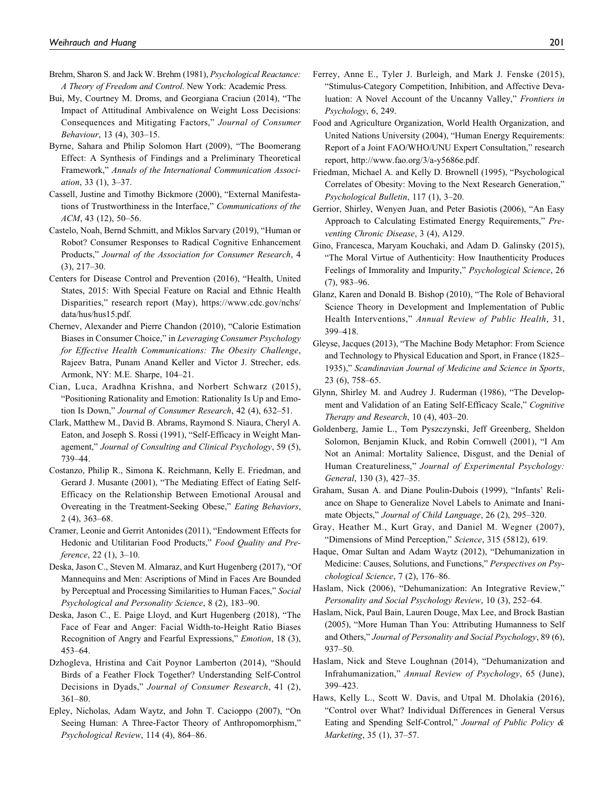- Brehm, Sharon S. and Jack W. Brehm (1981), Psychological Reactance: A Theory of Freedom and Control. New York: Academic Press.
- Bui, My, Courtney M. Droms, and Georgiana Craciun (2014), "The Impact of Attitudinal Ambivalence on Weight Loss Decisions: Consequences and Mitigating Factors," Journal of Consumer Behaviour, 13 (4), 303–15.
- Byrne, Sahara and Philip Solomon Hart (2009), "The Boomerang Effect: A Synthesis of Findings and a Preliminary Theoretical Framework," Annals of the International Communication Association, 33 (1), 3–37.
- Cassell, Justine and Timothy Bickmore (2000), "External Manifestations of Trustworthiness in the Interface," Communications of the ACM, 43 (12), 50–56.
- Castelo, Noah, Bernd Schmitt, and Miklos Sarvary (2019), "Human or Robot? Consumer Responses to Radical Cognitive Enhancement Products," Journal of the Association for Consumer Research, 4 (3), 217–30.
- Centers for Disease Control and Prevention (2016), "Health, United States, 2015: With Special Feature on Racial and Ethnic Health Disparities," research report (May), [https://www.cdc.gov/nchs/](https://www.cdc.gov/nchs/data/hus/hus15.pdf) [data/hus/hus15.pdf.](https://www.cdc.gov/nchs/data/hus/hus15.pdf)
- Chernev, Alexander and Pierre Chandon (2010), "Calorie Estimation Biases in Consumer Choice," in Leveraging Consumer Psychology for Effective Health Communications: The Obesity Challenge, Rajeev Batra, Punam Anand Keller and Victor J. Strecher, eds. Armonk, NY: M.E. Sharpe, 104–21.
- Cian, Luca, Aradhna Krishna, and Norbert Schwarz (2015), "Positioning Rationality and Emotion: Rationality Is Up and Emotion Is Down," Journal of Consumer Research, 42 (4), 632–51.
- Clark, Matthew M., David B. Abrams, Raymond S. Niaura, Cheryl A. Eaton, and Joseph S. Rossi (1991), "Self-Efficacy in Weight Management," Journal of Consulting and Clinical Psychology, 59 (5), 739–44.
- Costanzo, Philip R., Simona K. Reichmann, Kelly E. Friedman, and Gerard J. Musante (2001), "The Mediating Effect of Eating Self-Efficacy on the Relationship Between Emotional Arousal and Overeating in the Treatment-Seeking Obese," Eating Behaviors, 2 (4), 363–68.
- Cramer, Leonie and Gerrit Antonides (2011), "Endowment Effects for Hedonic and Utilitarian Food Products," Food Quality and Preference, 22 (1), 3–10.
- Deska, Jason C., Steven M. Almaraz, and Kurt Hugenberg (2017), "Of Mannequins and Men: Ascriptions of Mind in Faces Are Bounded by Perceptual and Processing Similarities to Human Faces," Social Psychological and Personality Science, 8 (2), 183–90.
- Deska, Jason C., E. Paige Lloyd, and Kurt Hugenberg (2018), "The Face of Fear and Anger: Facial Width-to-Height Ratio Biases Recognition of Angry and Fearful Expressions," Emotion, 18 (3), 453–64.
- Dzhogleva, Hristina and Cait Poynor Lamberton (2014), "Should Birds of a Feather Flock Together? Understanding Self-Control Decisions in Dyads," Journal of Consumer Research, 41 (2), 361–80.
- Epley, Nicholas, Adam Waytz, and John T. Cacioppo (2007), "On Seeing Human: A Three-Factor Theory of Anthropomorphism," Psychological Review, 114 (4), 864–86.
- Ferrey, Anne E., Tyler J. Burleigh, and Mark J. Fenske (2015), "Stimulus-Category Competition, Inhibition, and Affective Devaluation: A Novel Account of the Uncanny Valley," Frontiers in Psychology, 6, 249.
- Food and Agriculture Organization, World Health Organization, and United Nations University (2004), "Human Energy Requirements: Report of a Joint FAO/WHO/UNU Expert Consultation," research report,<http://www.fao.org/3/a-y5686e.pdf>.
- Friedman, Michael A. and Kelly D. Brownell (1995), "Psychological Correlates of Obesity: Moving to the Next Research Generation," Psychological Bulletin, 117 (1), 3–20.
- Gerrior, Shirley, Wenyen Juan, and Peter Basiotis (2006), "An Easy Approach to Calculating Estimated Energy Requirements," Preventing Chronic Disease, 3 (4), A129.
- Gino, Francesca, Maryam Kouchaki, and Adam D. Galinsky (2015), "The Moral Virtue of Authenticity: How Inauthenticity Produces Feelings of Immorality and Impurity," Psychological Science, 26 (7), 983–96.
- Glanz, Karen and Donald B. Bishop (2010), "The Role of Behavioral Science Theory in Development and Implementation of Public Health Interventions," Annual Review of Public Health, 31, 399–418.
- Gleyse, Jacques (2013), "The Machine Body Metaphor: From Science and Technology to Physical Education and Sport, in France (1825– 1935)," Scandinavian Journal of Medicine and Science in Sports, 23 (6), 758–65.
- Glynn, Shirley M. and Audrey J. Ruderman (1986), "The Development and Validation of an Eating Self-Efficacy Scale," Cognitive Therapy and Research, 10 (4), 403–20.
- Goldenberg, Jamie L., Tom Pyszczynski, Jeff Greenberg, Sheldon Solomon, Benjamin Kluck, and Robin Cornwell (2001), "I Am Not an Animal: Mortality Salience, Disgust, and the Denial of Human Creatureliness," Journal of Experimental Psychology: General, 130 (3), 427–35.
- Graham, Susan A. and Diane Poulin-Dubois (1999), "Infants' Reliance on Shape to Generalize Novel Labels to Animate and Inanimate Objects," Journal of Child Language, 26 (2), 295–320.
- Gray, Heather M., Kurt Gray, and Daniel M. Wegner (2007), "Dimensions of Mind Perception," Science, 315 (5812), 619.
- Haque, Omar Sultan and Adam Waytz (2012), "Dehumanization in Medicine: Causes, Solutions, and Functions," Perspectives on Psychological Science, 7 (2), 176–86.
- Haslam, Nick (2006), "Dehumanization: An Integrative Review," Personality and Social Psychology Review, 10 (3), 252–64.
- Haslam, Nick, Paul Bain, Lauren Douge, Max Lee, and Brock Bastian (2005), "More Human Than You: Attributing Humanness to Self and Others," Journal of Personality and Social Psychology, 89 (6), 937–50.
- Haslam, Nick and Steve Loughnan (2014), "Dehumanization and Infrahumanization," Annual Review of Psychology, 65 (June), 399–423.
- Haws, Kelly L., Scott W. Davis, and Utpal M. Dholakia (2016), "Control over What? Individual Differences in General Versus Eating and Spending Self-Control," Journal of Public Policy & Marketing, 35 (1), 37–57.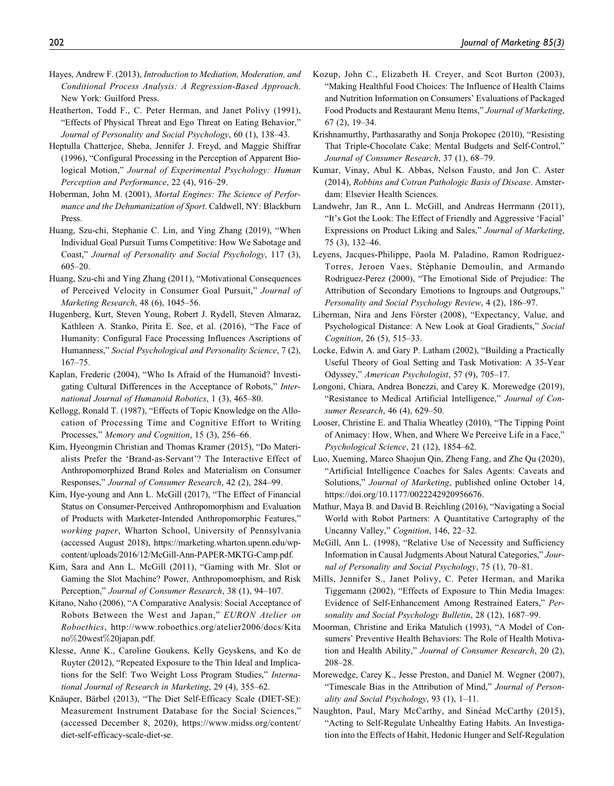- Hayes, Andrew F. (2013), Introduction to Mediation, Moderation, and Conditional Process Analysis: A Regression-Based Approach. New York: Guilford Press.
- Heatherton, Todd F., C. Peter Herman, and Janet Polivy (1991), "Effects of Physical Threat and Ego Threat on Eating Behavior," Journal of Personality and Social Psychology, 60 (1), 138–43.
- Heptulla Chatterjee, Sheba, Jennifer J. Freyd, and Maggie Shiffrar (1996), "Configural Processing in the Perception of Apparent Biological Motion," Journal of Experimental Psychology: Human Perception and Performance, 22 (4), 916–29.
- Hoberman, John M. (2001), Mortal Engines: The Science of Performance and the Dehumanization of Sport. Caldwell, NY: Blackburn Press.
- Huang, Szu-chi, Stephanie C. Lin, and Ying Zhang (2019), "When Individual Goal Pursuit Turns Competitive: How We Sabotage and Coast," Journal of Personality and Social Psychology, 117 (3), 605–20.
- Huang, Szu-chi and Ying Zhang (2011), "Motivational Consequences of Perceived Velocity in Consumer Goal Pursuit," Journal of Marketing Research, 48 (6), 1045–56.
- Hugenberg, Kurt, Steven Young, Robert J. Rydell, Steven Almaraz, Kathleen A. Stanko, Pirita E. See, et al. (2016), "The Face of Humanity: Configural Face Processing Influences Ascriptions of Humanness," Social Psychological and Personality Science, 7 (2), 167–75.
- Kaplan, Frederic (2004), "Who Is Afraid of the Humanoid? Investigating Cultural Differences in the Acceptance of Robots," International Journal of Humanoid Robotics, 1 (3), 465–80.
- Kellogg, Ronald T. (1987), "Effects of Topic Knowledge on the Allocation of Processing Time and Cognitive Effort to Writing Processes," Memory and Cognition, 15 (3), 256–66.
- Kim, Hyeongmin Christian and Thomas Kramer (2015), "Do Materialists Prefer the 'Brand-as-Servant'? The Interactive Effect of Anthropomorphized Brand Roles and Materialism on Consumer Responses," Journal of Consumer Research, 42 (2), 284–99.
- Kim, Hye-young and Ann L. McGill (2017), "The Effect of Financial Status on Consumer-Perceived Anthropomorphism and Evaluation of Products with Marketer-Intended Anthropomorphic Features," working paper, Wharton School, University of Pennsylvania (accessed August 2018), [https://marketing.wharton.upenn.edu/wp](https://marketing.wharton.upenn.edu/wp-content/uploads/2016/12/McGill-Ann-PAPER-MKTG-Camp.pdf)[content/uploads/2016/12/McGill-Ann-PAPER-MKTG-Camp.pdf.](https://marketing.wharton.upenn.edu/wp-content/uploads/2016/12/McGill-Ann-PAPER-MKTG-Camp.pdf)
- Kim, Sara and Ann L. McGill (2011), "Gaming with Mr. Slot or Gaming the Slot Machine? Power, Anthropomorphism, and Risk Perception," Journal of Consumer Research, 38 (1), 94–107.
- Kitano, Naho (2006), "A Comparative Analysis: Social Acceptance of Robots Between the West and Japan," EURON Atelier on Roboethics, [http://www.roboethics.org/atelier2006/docs/Kita](http://www.roboethics.org/atelier2006/docs/Kitano%20west%20japan.pdf) [no](http://www.roboethics.org/atelier2006/docs/Kitano%20west%20japan.pdf)%[20west](http://www.roboethics.org/atelier2006/docs/Kitano%20west%20japan.pdf)%[20japan.pdf.](http://www.roboethics.org/atelier2006/docs/Kitano%20west%20japan.pdf)
- Klesse, Anne K., Caroline Goukens, Kelly Geyskens, and Ko de Ruyter (2012), "Repeated Exposure to the Thin Ideal and Implications for the Self: Two Weight Loss Program Studies," International Journal of Research in Marketing, 29 (4), 355–62.
- Knäuper, Bärbel (2013), "The Diet Self-Efficacy Scale (DIET-SE): Measurement Instrument Database for the Social Sciences," (accessed December 8, 2020), [https://www.midss.org/content/](https://www.midss.org/content/diet-self-efficacy-scale-diet-se) [diet-self-efficacy-scale-diet-se](https://www.midss.org/content/diet-self-efficacy-scale-diet-se).
- Kozup, John C., Elizabeth H. Creyer, and Scot Burton (2003), "Making Healthful Food Choices: The Influence of Health Claims and Nutrition Information on Consumers' Evaluations of Packaged Food Products and Restaurant Menu Items," Journal of Marketing, 67 (2), 19–34.
- Krishnamurthy, Parthasarathy and Sonja Prokopec (2010), "Resisting That Triple-Chocolate Cake: Mental Budgets and Self-Control," Journal of Consumer Research, 37 (1), 68–79.
- Kumar, Vinay, Abul K. Abbas, Nelson Fausto, and Jon C. Aster (2014), Robbins and Cotran Pathologic Basis of Disease. Amsterdam: Elsevier Health Sciences.
- Landwehr, Jan R., Ann L. McGill, and Andreas Herrmann (2011), "It's Got the Look: The Effect of Friendly and Aggressive 'Facial' Expressions on Product Liking and Sales," Journal of Marketing, 75 (3), 132–46.
- Leyens, Jacques-Philippe, Paola M. Paladino, Ramon Rodriguez-Torres, Jeroen Vaes, Stéphanie Demoulin, and Armando Rodriguez-Perez (2000), "The Emotional Side of Prejudice: The Attribution of Secondary Emotions to Ingroups and Outgroups," Personality and Social Psychology Review, 4 (2), 186–97.
- Liberman, Nira and Jens Förster (2008), "Expectancy, Value, and Psychological Distance: A New Look at Goal Gradients," Social Cognition, 26 (5), 515–33.
- Locke, Edwin A. and Gary P. Latham (2002), "Building a Practically Useful Theory of Goal Setting and Task Motivation: A 35-Year Odyssey," American Psychologist, 57 (9), 705–17.
- Longoni, Chiara, Andrea Bonezzi, and Carey K. Morewedge (2019), "Resistance to Medical Artificial Intelligence," Journal of Consumer Research, 46 (4), 629–50.
- Looser, Christine E. and Thalia Wheatley (2010), "The Tipping Point of Animacy: How, When, and Where We Perceive Life in a Face," Psychological Science, 21 (12), 1854–62.
- Luo, Xueming, Marco Shaojun Qin, Zheng Fang, and Zhe Qu (2020), "Artificial Intelligence Coaches for Sales Agents: Caveats and Solutions," Journal of Marketing, published online October 14, [https://doi.org/10.1177/0022242920956676.](https://doi.org/10.1177/0022242920956676)
- Mathur, Maya B. and David B. Reichling (2016), "Navigating a Social World with Robot Partners: A Quantitative Cartography of the Uncanny Valley," Cognition, 146, 22–32.
- McGill, Ann L. (1998), "Relative Use of Necessity and Sufficiency Information in Causal Judgments About Natural Categories," Journal of Personality and Social Psychology, 75 (1), 70–81.
- Mills, Jennifer S., Janet Polivy, C. Peter Herman, and Marika Tiggemann (2002), "Effects of Exposure to Thin Media Images: Evidence of Self-Enhancement Among Restrained Eaters," Personality and Social Psychology Bulletin, 28 (12), 1687–99.
- Moorman, Christine and Erika Matulich (1993), "A Model of Consumers' Preventive Health Behaviors: The Role of Health Motivation and Health Ability," Journal of Consumer Research, 20 (2), 208–28.
- Morewedge, Carey K., Jesse Preston, and Daniel M. Wegner (2007), "Timescale Bias in the Attribution of Mind," Journal of Personality and Social Psychology, 93 (1), 1–11.
- Naughton, Paul, Mary McCarthy, and Sinéad McCarthy (2015), "Acting to Self-Regulate Unhealthy Eating Habits. An Investigation into the Effects of Habit, Hedonic Hunger and Self-Regulation